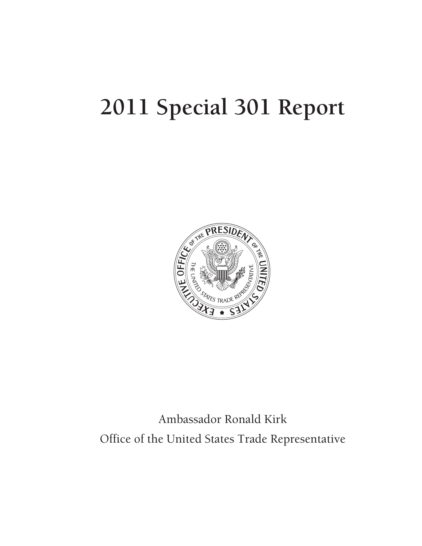# **2011 Special 301 Report**



# Ambassador Ronald Kirk Office of the United States Trade Representative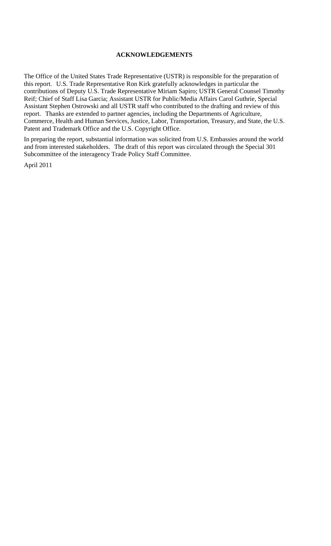# **ACKNOWLEDGEMENTS**

The Office of the United States Trade Representative (USTR) is responsible for the preparation of this report. U.S. Trade Representative Ron Kirk gratefully acknowledges in particular the contributions of Deputy U.S. Trade Representative Miriam Sapiro; USTR General Counsel Timothy Reif; Chief of Staff Lisa Garcia; Assistant USTR for Public/Media Affairs Carol Guthrie, Special Assistant Stephen Ostrowski and all USTR staff who contributed to the drafting and review of this report. Thanks are extended to partner agencies, including the Departments of Agriculture, Commerce, Health and Human Services, Justice, Labor, Transportation, Treasury, and State, the U.S. Patent and Trademark Office and the U.S. Copyright Office.

In preparing the report, substantial information was solicited from U.S. Embassies around the world and from interested stakeholders. The draft of this report was circulated through the Special 301 Subcommittee of the interagency Trade Policy Staff Committee.

April 2011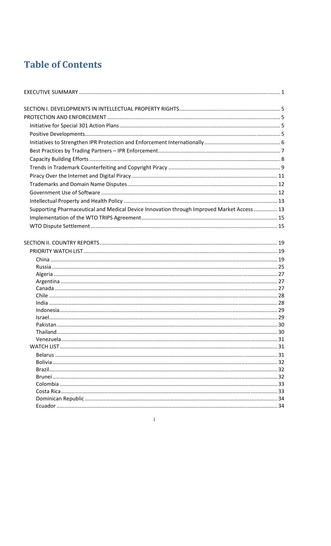# **Table of Contents**

| Supporting Pharmaceutical and Medical Device Innovation through Improved Market Access  13 |  |
|--------------------------------------------------------------------------------------------|--|
|                                                                                            |  |
|                                                                                            |  |
|                                                                                            |  |
|                                                                                            |  |
|                                                                                            |  |
|                                                                                            |  |
|                                                                                            |  |
|                                                                                            |  |
|                                                                                            |  |
|                                                                                            |  |
|                                                                                            |  |
|                                                                                            |  |
|                                                                                            |  |
|                                                                                            |  |
|                                                                                            |  |
|                                                                                            |  |
|                                                                                            |  |
|                                                                                            |  |
|                                                                                            |  |
|                                                                                            |  |
|                                                                                            |  |
|                                                                                            |  |
|                                                                                            |  |
|                                                                                            |  |

 $\mathbf{r} = \mathbf{r} \mathbf{r}$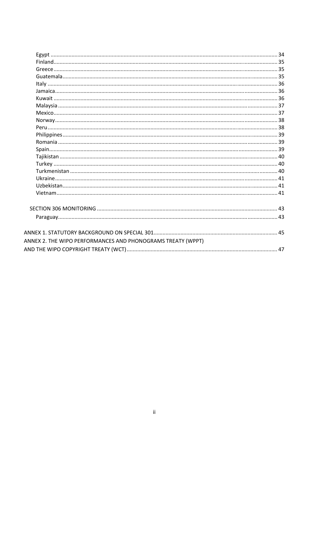| ANNEX 2. THE WIPO PERFORMANCES AND PHONOGRAMS TREATY (WPPT) |  |
|-------------------------------------------------------------|--|
|                                                             |  |

 $\ddot{\text{ii}}$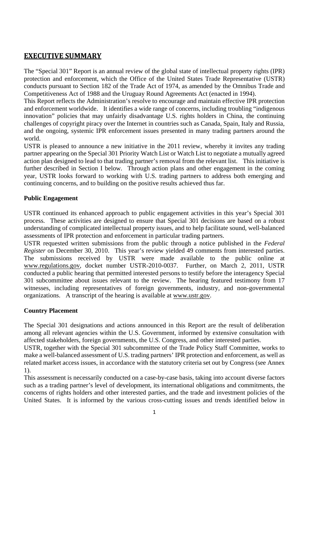# **EXECUTIVE SUMMARY**

The "Special 301" Report is an annual review of the global state of intellectual property rights (IPR) protection and enforcement, which the Office of the United States Trade Representative (USTR) conducts pursuant to Section 182 of the Trade Act of 1974, as amended by the Omnibus Trade and Competitiveness Act of 1988 and the Uruguay Round Agreements Act (enacted in 1994).

This Report reflects the Administration's resolve to encourage and maintain effective IPR protection and enforcement worldwide. It identifies a wide range of concerns, including troubling "indigenous innovation" policies that may unfairly disadvantage U.S. rights holders in China, the continuing challenges of copyright piracy over the Internet in countries such as Canada, Spain, Italy and Russia, and the ongoing, systemic IPR enforcement issues presented in many trading partners around the world.

USTR is pleased to announce a new initiative in the 2011 review, whereby it invites any trading partner appearing on the Special 301 Priority Watch List or Watch List to negotiate a mutually agreed action plan designed to lead to that trading partner's removal from the relevant list. This initiative is further described in Section I below. Through action plans and other engagement in the coming year, USTR looks forward to working with U.S. trading partners to address both emerging and continuing concerns, and to building on the positive results achieved thus far.

# **Public Engagement**

USTR continued its enhanced approach to public engagement activities in this year's Special 301 process. These activities are designed to ensure that Special 301 decisions are based on a robust understanding of complicated intellectual property issues, and to help facilitate sound, well-balanced assessments of IPR protection and enforcement in particular trading partners.

USTR requested written submissions from the public through a notice published in the *Federal Register* on December 30, 2010. This year's review yielded 49 comments from interested parties. The submissions received by USTR were made available to the public online at www.regulations.gov, docket number USTR-2010-0037. Further, on March 2, 2011, USTR conducted a public hearing that permitted interested persons to testify before the interagency Special 301 subcommittee about issues relevant to the review. The hearing featured testimony from 17 witnesses, including representatives of foreign governments, industry, and non-governmental organizations. A transcript of the hearing is available at www.ustr.gov.

# **Country Placement**

The Special 301 designations and actions announced in this Report are the result of deliberation among all relevant agencies within the U.S. Government, informed by extensive consultation with affected stakeholders, foreign governments, the U.S. Congress, and other interested parties.

USTR, together with the Special 301 subcommittee of the Trade Policy Staff Committee, works to make a well-balanced assessment of U.S. trading partners' IPR protection and enforcement, as well as related market access issues, in accordance with the statutory criteria set out by Congress (see Annex 1).

This assessment is necessarily conducted on a case-by-case basis, taking into account diverse factors such as a trading partner's level of development, its international obligations and commitments, the concerns of rights holders and other interested parties, and the trade and investment policies of the United States. It is informed by the various cross-cutting issues and trends identified below in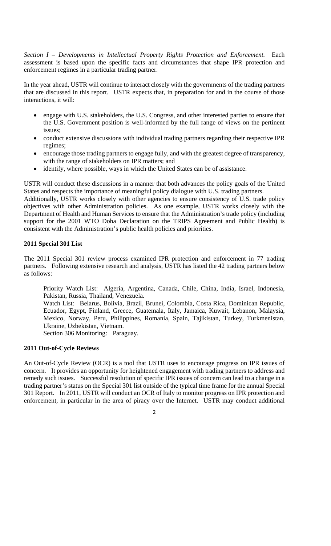*Section I – Developments in Intellectual Property Rights Protection and Enforcement.* Each assessment is based upon the specific facts and circumstances that shape IPR protection and enforcement regimes in a particular trading partner.

In the year ahead, USTR will continue to interact closely with the governments of the trading partners that are discussed in this report. USTR expects that, in preparation for and in the course of those interactions, it will:

- engage with U.S. stakeholders, the U.S. Congress, and other interested parties to ensure that the U.S. Government position is well-informed by the full range of views on the pertinent issues;
- conduct extensive discussions with individual trading partners regarding their respective IPR regimes;
- encourage those trading partners to engage fully, and with the greatest degree of transparency, with the range of stakeholders on IPR matters; and
- identify, where possible, ways in which the United States can be of assistance.

USTR will conduct these discussions in a manner that both advances the policy goals of the United States and respects the importance of meaningful policy dialogue with U.S. trading partners.

Additionally, USTR works closely with other agencies to ensure consistency of U.S. trade policy objectives with other Administration policies. As one example, USTR works closely with the Department of Health and Human Services to ensure that the Administration's trade policy (including support for the 2001 WTO Doha Declaration on the TRIPS Agreement and Public Health) is consistent with the Administration's public health policies and priorities.

# **2011 Special 301 List**

The 2011 Special 301 review process examined IPR protection and enforcement in 77 trading partners. Following extensive research and analysis, USTR has listed the 42 trading partners below as follows:

Priority Watch List: Algeria, Argentina, Canada, Chile, China, India, Israel, Indonesia, Pakistan, Russia, Thailand, Venezuela.

Watch List:Belarus, Bolivia, Brazil, Brunei, Colombia, Costa Rica, Dominican Republic, Ecuador, Egypt, Finland, Greece, Guatemala, Italy, Jamaica, Kuwait, Lebanon, Malaysia, Mexico, Norway, Peru, Philippines, Romania, Spain, Tajikistan, Turkey, Turkmenistan, Ukraine, Uzbekistan, Vietnam.

Section 306 Monitoring:Paraguay.

# **2011 Out-of-Cycle Reviews**

An Out-of-Cycle Review (OCR) is a tool that USTR uses to encourage progress on IPR issues of concern. It provides an opportunity for heightened engagement with trading partners to address and remedy such issues. Successful resolution of specific IPR issues of concern can lead to a change in a trading partner's status on the Special 301 list outside of the typical time frame for the annual Special 301 Report. In 2011, USTR will conduct an OCR of Italy to monitor progress on IPR protection and enforcement, in particular in the area of piracy over the Internet. USTR may conduct additional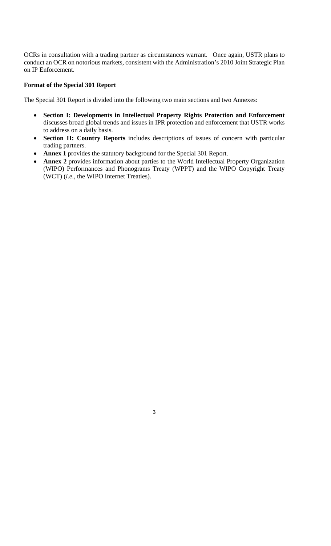OCRs in consultation with a trading partner as circumstances warrant. Once again, USTR plans to conduct an OCR on notorious markets, consistent with the Administration's 2010 Joint Strategic Plan on IP Enforcement.

# **Format of the Special 301 Report**

The Special 301 Report is divided into the following two main sections and two Annexes:

- **Section I: Developments in Intellectual Property Rights Protection and Enforcement** discusses broad global trends and issues in IPR protection and enforcement that USTR works to address on a daily basis.
- **Section II: Country Reports** includes descriptions of issues of concern with particular trading partners.
- **Annex 1** provides the statutory background for the Special 301 Report.
- **Annex 2** provides information about parties to the World Intellectual Property Organization (WIPO) Performances and Phonograms Treaty (WPPT) and the WIPO Copyright Treaty (WCT) (*i.e.*, the WIPO Internet Treaties).

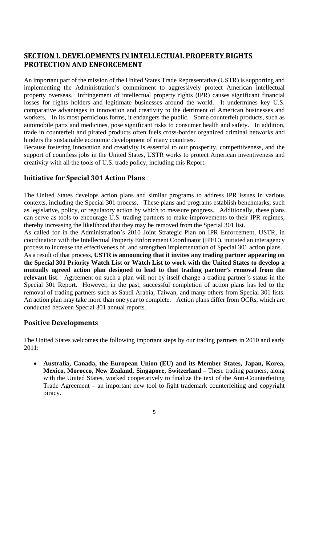# **SECTION I. DEVELOPMENTS IN INTELLECTUAL PROPERTY RIGHTS PROTECTION AND ENFORCEMENT**

An important part of the mission of the United States Trade Representative (USTR) is supporting and implementing the Administration's commitment to aggressively protect American intellectual property overseas. Infringement of intellectual property rights (IPR) causes significant financial losses for rights holders and legitimate businesses around the world. It undermines key U.S. comparative advantages in innovation and creativity to the detriment of American businesses and workers. In its most pernicious forms, it endangers the public. Some counterfeit products, such as automobile parts and medicines, pose significant risks to consumer health and safety. In addition, trade in counterfeit and pirated products often fuels cross-border organized criminal networks and hinders the sustainable economic development of many countries.

Because fostering innovation and creativity is essential to our prosperity, competitiveness, and the support of countless jobs in the United States, USTR works to protect American inventiveness and creativity with all the tools of U.S. trade policy, including this Report.

# **Initiative for Special 301 Action Plans**

The United States develops action plans and similar programs to address IPR issues in various contexts, including the Special 301 process. These plans and programs establish benchmarks, such as legislative, policy, or regulatory action by which to measure progress. Additionally, these plans can serve as tools to encourage U.S. trading partners to make improvements to their IPR regimes, thereby increasing the likelihood that they may be removed from the Special 301 list.

As called for in the Administration's 2010 Joint Strategic Plan on IPR Enforcement, USTR, in coordination with the Intellectual Property Enforcement Coordinator (IPEC), initiated an interagency process to increase the effectiveness of, and strengthen implementation of Special 301 action plans.

As a result of that process, **USTR is announcing that it invites any trading partner appearing on the Special 301 Priority Watch List or Watch List to work with the United States to develop a mutually agreed action plan designed to lead to that trading partner's removal from the relevant list**.Agreement on such a plan will not by itself change a trading partner's status in the Special 301 Report. However, in the past, successful completion of action plans has led to the removal of trading partners such as Saudi Arabia, Taiwan, and many others from Special 301 lists. An action plan may take more than one year to complete. Action plans differ from OCRs, which are conducted between Special 301 annual reports.

# **Positive Developments**

The United States welcomes the following important steps by our trading partners in 2010 and early 2011:

 **Australia, Canada, the European Union (EU) and its Member States, Japan, Korea, Mexico, Morocco, New Zealand, Singapore, Switzerland** – These trading partners, along with the United States, worked cooperatively to finalize the text of the Anti-Counterfeiting Trade Agreement – an important new tool to fight trademark counterfeiting and copyright piracy.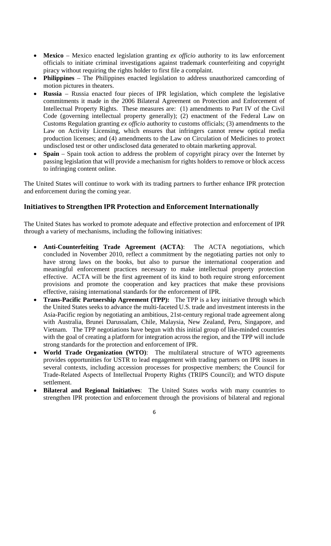- **Mexico** Mexico enacted legislation granting *ex officio* authority to its law enforcement officials to initiate criminal investigations against trademark counterfeiting and copyright piracy without requiring the rights holder to first file a complaint.
- **Philippines** The Philippines enacted legislation to address unauthorized camcording of motion pictures in theaters.
- **Russia**  Russia enacted four pieces of IPR legislation, which complete the legislative commitments it made in the 2006 Bilateral Agreement on Protection and Enforcement of Intellectual Property Rights. These measures are: (1) amendments to Part IV of the Civil Code (governing intellectual property generally); (2) enactment of the Federal Law on Customs Regulation granting *ex officio* authority to customs officials; (3) amendments to the Law on Activity Licensing, which ensures that infringers cannot renew optical media production licenses; and (4) amendments to the Law on Circulation of Medicines to protect undisclosed test or other undisclosed data generated to obtain marketing approval.
- **Spain** Spain took action to address the problem of copyright piracy over the Internet by passing legislation that will provide a mechanism for rights holders to remove or block access to infringing content online.

The United States will continue to work with its trading partners to further enhance IPR protection and enforcement during the coming year.

# **Initiatives to Strengthen IPR Protection and Enforcement Internationally**

The United States has worked to promote adequate and effective protection and enforcement of IPR through a variety of mechanisms, including the following initiatives:

- **Anti-Counterfeiting Trade Agreement (ACTA)**: The ACTA negotiations, which concluded in November 2010, reflect a commitment by the negotiating parties not only to have strong laws on the books, but also to pursue the international cooperation and meaningful enforcement practices necessary to make intellectual property protection effective. ACTA will be the first agreement of its kind to both require strong enforcement provisions and promote the cooperation and key practices that make these provisions effective, raising international standards for the enforcement of IPR.
- **Trans-Pacific Partnership Agreement (TPP):** The TPP is a key initiative through which the United States seeks to advance the multi-faceted U.S. trade and investment interests in the Asia-Pacific region by negotiating an ambitious, 21st-century regional trade agreement along with Australia, Brunei Darussalam, Chile, Malaysia, New Zealand, Peru, Singapore, and Vietnam. The TPP negotiations have begun with this initial group of like-minded countries with the goal of creating a platform for integration across the region, and the TPP will include strong standards for the protection and enforcement of IPR.
- **World Trade Organization (WTO)**: The multilateral structure of WTO agreements provides opportunities for USTR to lead engagement with trading partners on IPR issues in several contexts, including accession processes for prospective members; the Council for Trade-Related Aspects of Intellectual Property Rights (TRIPS Council); and WTO dispute settlement.
- **Bilateral and Regional Initiatives**: The United States works with many countries to strengthen IPR protection and enforcement through the provisions of bilateral and regional
	- 6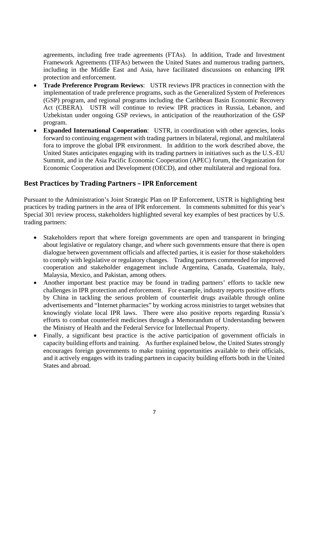agreements, including free trade agreements (FTAs). In addition, Trade and Investment Framework Agreements (TIFAs) between the United States and numerous trading partners, including in the Middle East and Asia, have facilitated discussions on enhancing IPR protection and enforcement.

- **Trade Preference Program Reviews**: USTR reviews IPR practices in connection with the implementation of trade preference programs, such as the Generalized System of Preferences (GSP) program, and regional programs including the Caribbean Basin Economic Recovery Act (CBERA). USTR will continue to review IPR practices in Russia, Lebanon, and Uzbekistan under ongoing GSP reviews, in anticipation of the reauthorization of the GSP program.
- **Expanded International Cooperation**: USTR, in coordination with other agencies, looks forward to continuing engagement with trading partners in bilateral, regional, and multilateral fora to improve the global IPR environment. In addition to the work described above, the United States anticipates engaging with its trading partners in initiatives such as the U.S.-EU Summit, and in the Asia Pacific Economic Cooperation (APEC) forum, the Organization for Economic Cooperation and Development (OECD), and other multilateral and regional fora.

# **Best Practices by Trading Partners – IPR Enforcement**

Pursuant to the Administration's Joint Strategic Plan on IP Enforcement, USTR is highlighting best practices by trading partners in the area of IPR enforcement. In comments submitted for this year's Special 301 review process, stakeholders highlighted several key examples of best practices by U.S. trading partners:

- Stakeholders report that where foreign governments are open and transparent in bringing about legislative or regulatory change, and where such governments ensure that there is open dialogue between government officials and affected parties, it is easier for those stakeholders to comply with legislative or regulatory changes. Trading partners commended for improved cooperation and stakeholder engagement include Argentina, Canada, Guatemala, Italy, Malaysia, Mexico, and Pakistan, among others.
- Another important best practice may be found in trading partners' efforts to tackle new challenges in IPR protection and enforcement. For example, industry reports positive efforts by China in tackling the serious problem of counterfeit drugs available through online advertisements and "Internet pharmacies" by working across ministries to target websites that knowingly violate local IPR laws. There were also positive reports regarding Russia's efforts to combat counterfeit medicines through a Memorandum of Understanding between the Ministry of Health and the Federal Service for Intellectual Property.
- Finally, a significant best practice is the active participation of government officials in capacity building efforts and training. As further explained below, the United States strongly encourages foreign governments to make training opportunities available to their officials, and it actively engages with its trading partners in capacity building efforts both in the United States and abroad.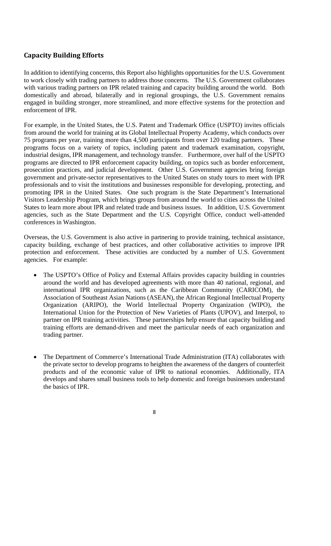# **Capacity Building Efforts**

In addition to identifying concerns, this Report also highlights opportunities for the U.S. Government to work closely with trading partners to address those concerns. The U.S. Government collaborates with various trading partners on IPR related training and capacity building around the world. Both domestically and abroad, bilaterally and in regional groupings, the U.S. Government remains engaged in building stronger, more streamlined, and more effective systems for the protection and enforcement of IPR.

For example, in the United States, the U.S. Patent and Trademark Office (USPTO) invites officials from around the world for training at its Global Intellectual Property Academy, which conducts over 75 programs per year, training more than 4,500 participants from over 120 trading partners. These programs focus on a variety of topics, including patent and trademark examination, copyright, industrial designs, IPR management, and technology transfer. Furthermore, over half of the USPTO programs are directed to IPR enforcement capacity building, on topics such as border enforcement, prosecution practices, and judicial development. Other U.S. Government agencies bring foreign government and private-sector representatives to the United States on study tours to meet with IPR professionals and to visit the institutions and businesses responsible for developing, protecting, and promoting IPR in the United States. One such program is the State Department's International Visitors Leadership Program, which brings groups from around the world to cities across the United States to learn more about IPR and related trade and business issues. In addition, U.S. Government agencies, such as the State Department and the U.S. Copyright Office, conduct well-attended conferences in Washington.

Overseas, the U.S. Government is also active in partnering to provide training, technical assistance, capacity building, exchange of best practices, and other collaborative activities to improve IPR protection and enforcement. These activities are conducted by a number of U.S. Government agencies. For example:

- The USPTO's Office of Policy and External Affairs provides capacity building in countries around the world and has developed agreements with more than 40 national, regional, and international IPR organizations, such as the Caribbean Community (CARICOM), the Association of Southeast Asian Nations (ASEAN), the African Regional Intellectual Property Organization (ARIPO), the World Intellectual Property Organization (WIPO), the International Union for the Protection of New Varieties of Plants (UPOV), and Interpol, to partner on IPR training activities. These partnerships help ensure that capacity building and training efforts are demand-driven and meet the particular needs of each organization and trading partner.
- The Department of Commerce's International Trade Administration (ITA) collaborates with the private sector to develop programs to heighten the awareness of the dangers of counterfeit products and of the economic value of IPR to national economies. Additionally, ITA develops and shares small business tools to help domestic and foreign businesses understand the basics of IPR.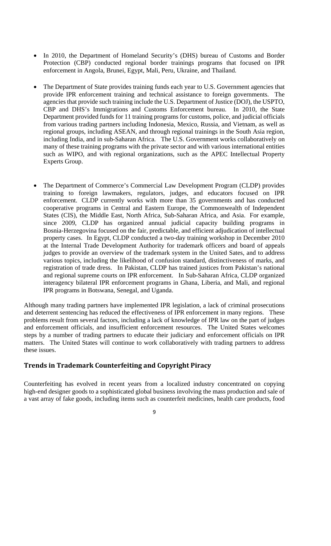- In 2010, the Department of Homeland Security's (DHS) bureau of Customs and Border Protection (CBP) conducted regional border trainings programs that focused on IPR enforcement in Angola, Brunei, Egypt, Mali, Peru, Ukraine, and Thailand.
- The Department of State provides training funds each year to U.S. Government agencies that provide IPR enforcement training and technical assistance to foreign governments. The agencies that provide such training include the U.S. Department of Justice (DOJ), the USPTO, CBP and DHS's Immigrations and Customs Enforcement bureau. In 2010, the State Department provided funds for 11 training programs for customs, police, and judicial officials from various trading partners including Indonesia, Mexico, Russia, and Vietnam, as well as regional groups, including ASEAN, and through regional trainings in the South Asia region, including India, and in sub-Saharan Africa. The U.S. Government works collaboratively on many of these training programs with the private sector and with various international entities such as WIPO, and with regional organizations, such as the APEC Intellectual Property Experts Group.
- The Department of Commerce's Commercial Law Development Program (CLDP) provides training to foreign lawmakers, regulators, judges, and educators focused on IPR enforcement. CLDP currently works with more than 35 governments and has conducted cooperative programs in Central and Eastern Europe, the Commonwealth of Independent States (CIS), the Middle East, North Africa, Sub-Saharan Africa, and Asia. For example, since 2009, CLDP has organized annual judicial capacity building programs in Bosnia-Herzegovina focused on the fair, predictable, and efficient adjudication of intellectual property cases. In Egypt, CLDP conducted a two-day training workshop in December 2010 at the Internal Trade Development Authority for trademark officers and board of appeals judges to provide an overview of the trademark system in the United Sates, and to address various topics, including the likelihood of confusion standard, distinctiveness of marks, and registration of trade dress. In Pakistan, CLDP has trained justices from Pakistan's national and regional supreme courts on IPR enforcement. In Sub-Saharan Africa, CLDP organized interagency bilateral IPR enforcement programs in Ghana, Liberia, and Mali, and regional IPR programs in Botswana, Senegal, and Uganda.

Although many trading partners have implemented IPR legislation, a lack of criminal prosecutions and deterrent sentencing has reduced the effectiveness of IPR enforcement in many regions. These problems result from several factors, including a lack of knowledge of IPR law on the part of judges and enforcement officials, and insufficient enforcement resources. The United States welcomes steps by a number of trading partners to educate their judiciary and enforcement officials on IPR matters. The United States will continue to work collaboratively with trading partners to address these issues.

# **Trends in Trademark Counterfeiting and Copyright Piracy**

Counterfeiting has evolved in recent years from a localized industry concentrated on copying high-end designer goods to a sophisticated global business involving the mass production and sale of a vast array of fake goods, including items such as counterfeit medicines, health care products, food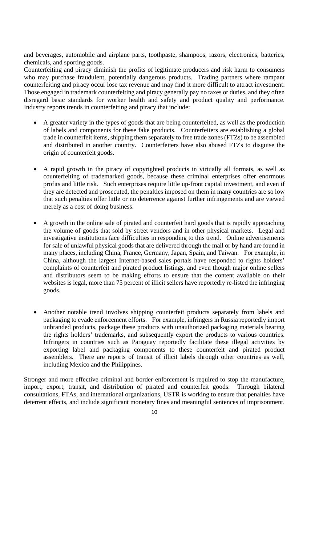and beverages, automobile and airplane parts, toothpaste, shampoos, razors, electronics, batteries, chemicals, and sporting goods.

Counterfeiting and piracy diminish the profits of legitimate producers and risk harm to consumers who may purchase fraudulent, potentially dangerous products. Trading partners where rampant counterfeiting and piracy occur lose tax revenue and may find it more difficult to attract investment. Those engaged in trademark counterfeiting and piracy generally pay no taxes or duties, and they often disregard basic standards for worker health and safety and product quality and performance. Industry reports trends in counterfeiting and piracy that include:

- A greater variety in the types of goods that are being counterfeited, as well as the production of labels and components for these fake products. Counterfeiters are establishing a global trade in counterfeit items, shipping them separately to free trade zones (FTZs) to be assembled and distributed in another country. Counterfeiters have also abused FTZs to disguise the origin of counterfeit goods.
- A rapid growth in the piracy of copyrighted products in virtually all formats, as well as counterfeiting of trademarked goods, because these criminal enterprises offer enormous profits and little risk. Such enterprises require little up-front capital investment, and even if they are detected and prosecuted, the penalties imposed on them in many countries are so low that such penalties offer little or no deterrence against further infringements and are viewed merely as a cost of doing business.
- A growth in the online sale of pirated and counterfeit hard goods that is rapidly approaching the volume of goods that sold by street vendors and in other physical markets. Legal and investigative institutions face difficulties in responding to this trend. Online advertisements for sale of unlawful physical goods that are delivered through the mail or by hand are found in many places, including China, France, Germany, Japan, Spain, and Taiwan. For example, in China, although the largest Internet-based sales portals have responded to rights holders' complaints of counterfeit and pirated product listings, and even though major online sellers and distributors seem to be making efforts to ensure that the content available on their websites is legal, more than 75 percent of illicit sellers have reportedly re-listed the infringing goods.
- Another notable trend involves shipping counterfeit products separately from labels and packaging to evade enforcement efforts. For example, infringers in Russia reportedly import unbranded products, package these products with unauthorized packaging materials bearing the rights holders' trademarks, and subsequently export the products to various countries. Infringers in countries such as Paraguay reportedly facilitate these illegal activities by exporting label and packaging components to these counterfeit and pirated product assemblers. There are reports of transit of illicit labels through other countries as well, including Mexico and the Philippines.

Stronger and more effective criminal and border enforcement is required to stop the manufacture, import, export, transit, and distribution of pirated and counterfeit goods. Through bilateral consultations, FTAs, and international organizations, USTR is working to ensure that penalties have deterrent effects, and include significant monetary fines and meaningful sentences of imprisonment.

 $1<sub>0</sub>$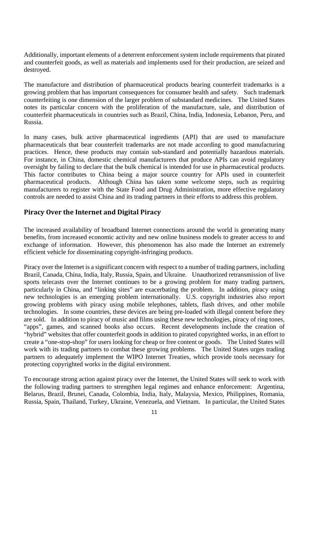Additionally, important elements of a deterrent enforcement system include requirements that pirated and counterfeit goods, as well as materials and implements used for their production, are seized and destroyed.

The manufacture and distribution of pharmaceutical products bearing counterfeit trademarks is a growing problem that has important consequences for consumer health and safety. Such trademark counterfeiting is one dimension of the larger problem of substandard medicines. The United States notes its particular concern with the proliferation of the manufacture, sale, and distribution of counterfeit pharmaceuticals in countries such as Brazil, China, India, Indonesia, Lebanon, Peru, and Russia.

In many cases, bulk active pharmaceutical ingredients (API) that are used to manufacture pharmaceuticals that bear counterfeit trademarks are not made according to good manufacturing practices. Hence, these products may contain sub-standard and potentially hazardous materials. For instance, in China, domestic chemical manufacturers that produce APIs can avoid regulatory oversight by failing to declare that the bulk chemical is intended for use in pharmaceutical products. This factor contributes to China being a major source country for APIs used in counterfeit pharmaceutical products. Although China has taken some welcome steps, such as requiring manufacturers to register with the State Food and Drug Administration, more effective regulatory controls are needed to assist China and its trading partners in their efforts to address this problem.

# **Piracy Over the Internet and Digital Piracy**

The increased availability of broadband Internet connections around the world is generating many benefits, from increased economic activity and new online business models to greater access to and exchange of information. However, this phenomenon has also made the Internet an extremely efficient vehicle for disseminating copyright-infringing products.

Piracy over the Internet is a significant concern with respect to a number of trading partners, including Brazil, Canada, China, India, Italy, Russia, Spain, and Ukraine. Unauthorized retransmission of live sports telecasts over the Internet continues to be a growing problem for many trading partners, particularly in China, and "linking sites" are exacerbating the problem. In addition, piracy using new technologies is an emerging problem internationally. U.S. copyright industries also report growing problems with piracy using mobile telephones, tablets, flash drives, and other mobile technologies. In some countries, these devices are being pre-loaded with illegal content before they are sold. In addition to piracy of music and films using these new technologies, piracy of ring tones, "apps", games, and scanned books also occurs. Recent developments include the creation of "hybrid" websites that offer counterfeit goods in addition to pirated copyrighted works, in an effort to create a "one-stop-shop" for users looking for cheap or free content or goods. The United States will work with its trading partners to combat these growing problems. The United States urges trading partners to adequately implement the WIPO Internet Treaties, which provide tools necessary for protecting copyrighted works in the digital environment.

To encourage strong action against piracy over the Internet, the United States will seek to work with the following trading partners to strengthen legal regimes and enhance enforcement: Argentina, Belarus, Brazil, Brunei, Canada, Colombia, India, Italy, Malaysia, Mexico, Philippines, Romania, Russia, Spain, Thailand, Turkey, Ukraine, Venezuela, and Vietnam. In particular, the United States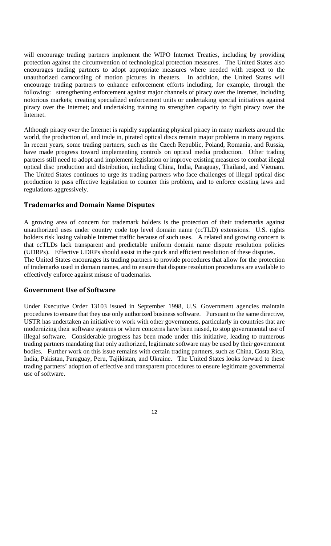will encourage trading partners implement the WIPO Internet Treaties, including by providing protection against the circumvention of technological protection measures. The United States also encourages trading partners to adopt appropriate measures where needed with respect to the unauthorized camcording of motion pictures in theaters. In addition, the United States will encourage trading partners to enhance enforcement efforts including, for example, through the following: strengthening enforcement against major channels of piracy over the Internet, including notorious markets; creating specialized enforcement units or undertaking special initiatives against piracy over the Internet; and undertaking training to strengthen capacity to fight piracy over the Internet.

Although piracy over the Internet is rapidly supplanting physical piracy in many markets around the world, the production of, and trade in, pirated optical discs remain major problems in many regions. In recent years, some trading partners, such as the Czech Republic, Poland, Romania, and Russia, have made progress toward implementing controls on optical media production. Other trading partners still need to adopt and implement legislation or improve existing measures to combat illegal optical disc production and distribution, including China, India, Paraguay, Thailand, and Vietnam. The United States continues to urge its trading partners who face challenges of illegal optical disc production to pass effective legislation to counter this problem, and to enforce existing laws and regulations aggressively.

#### **Trademarks and Domain Name Disputes**

A growing area of concern for trademark holders is the protection of their trademarks against unauthorized uses under country code top level domain name (ccTLD) extensions. U.S. rights holders risk losing valuable Internet traffic because of such uses. A related and growing concern is that ccTLDs lack transparent and predictable uniform domain name dispute resolution policies (UDRPs). Effective UDRPs should assist in the quick and efficient resolution of these disputes. The United States encourages its trading partners to provide procedures that allow for the protection

of trademarks used in domain names, and to ensure that dispute resolution procedures are available to effectively enforce against misuse of trademarks.

#### **Government Use of Software**

Under Executive Order 13103 issued in September 1998, U.S. Government agencies maintain procedures to ensure that they use only authorized business software. Pursuant to the same directive, USTR has undertaken an initiative to work with other governments, particularly in countries that are modernizing their software systems or where concerns have been raised, to stop governmental use of illegal software. Considerable progress has been made under this initiative, leading to numerous trading partners mandating that only authorized, legitimate software may be used by their government bodies. Further work on this issue remains with certain trading partners, such as China, Costa Rica, India, Pakistan, Paraguay, Peru, Tajikistan, and Ukraine. The United States looks forward to these trading partners' adoption of effective and transparent procedures to ensure legitimate governmental use of software.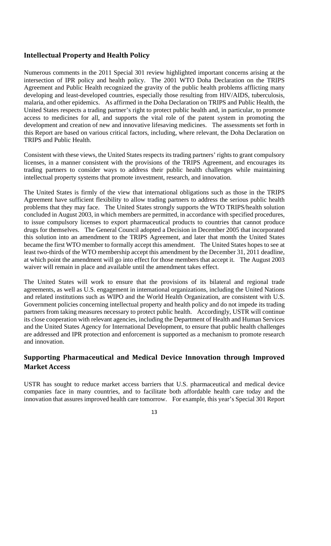# **Intellectual Property and Health Policy**

Numerous comments in the 2011 Special 301 review highlighted important concerns arising at the intersection of IPR policy and health policy. The 2001 WTO Doha Declaration on the TRIPS Agreement and Public Health recognized the gravity of the public health problems afflicting many developing and least-developed countries, especially those resulting from HIV/AIDS, tuberculosis, malaria, and other epidemics. As affirmed in the Doha Declaration on TRIPS and Public Health, the United States respects a trading partner's right to protect public health and, in particular, to promote access to medicines for all, and supports the vital role of the patent system in promoting the development and creation of new and innovative lifesaving medicines. The assessments set forth in this Report are based on various critical factors, including, where relevant, the Doha Declaration on TRIPS and Public Health.

Consistent with these views, the United States respects its trading partners' rights to grant compulsory licenses, in a manner consistent with the provisions of the TRIPS Agreement, and encourages its trading partners to consider ways to address their public health challenges while maintaining intellectual property systems that promote investment, research, and innovation.

The United States is firmly of the view that international obligations such as those in the TRIPS Agreement have sufficient flexibility to allow trading partners to address the serious public health problems that they may face. The United States strongly supports the WTO TRIPS/health solution concluded in August 2003, in which members are permitted, in accordance with specified procedures, to issue compulsory licenses to export pharmaceutical products to countries that cannot produce drugs for themselves. The General Council adopted a Decision in December 2005 that incorporated this solution into an amendment to the TRIPS Agreement, and later that month the United States became the first WTO member to formally accept this amendment. The United States hopes to see at least two-thirds of the WTO membership accept this amendment by the December 31, 2011 deadline, at which point the amendment will go into effect for those members that accept it. The August 2003 waiver will remain in place and available until the amendment takes effect.

The United States will work to ensure that the provisions of its bilateral and regional trade agreements, as well as U.S. engagement in international organizations, including the United Nations and related institutions such as WIPO and the World Health Organization, are consistent with U.S. Government policies concerning intellectual property and health policy and do not impede its trading partners from taking measures necessary to protect public health. Accordingly, USTR will continue its close cooperation with relevant agencies, including the Department of Health and Human Services and the United States Agency for International Development, to ensure that public health challenges are addressed and IPR protection and enforcement is supported as a mechanism to promote research and innovation.

# **Supporting Pharmaceutical and Medical Device Innovation through Improved Market Access**

USTR has sought to reduce market access barriers that U.S. pharmaceutical and medical device companies face in many countries, and to facilitate both affordable health care today and the innovation that assures improved health care tomorrow. For example, this year's Special 301 Report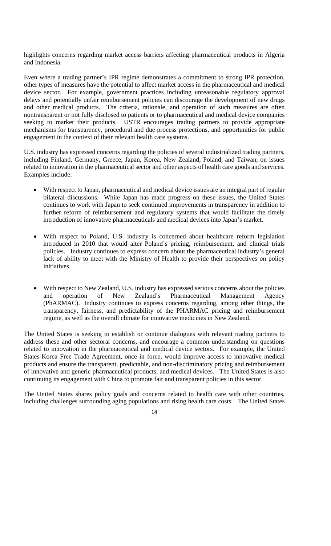highlights concerns regarding market access barriers affecting pharmaceutical products in Algeria and Indonesia.

Even where a trading partner's IPR regime demonstrates a commitment to strong IPR protection, other types of measures have the potential to affect market access in the pharmaceutical and medical device sector. For example, government practices including unreasonable regulatory approval delays and potentially unfair reimbursement policies can discourage the development of new drugs and other medical products. The criteria, rationale, and operation of such measures are often nontransparent or not fully disclosed to patients or to pharmaceutical and medical device companies seeking to market their products. USTR encourages trading partners to provide appropriate mechanisms for transparency, procedural and due process protections, and opportunities for public engagement in the context of their relevant health care systems.

U.S. industry has expressed concerns regarding the policies of several industrialized trading partners, including Finland, Germany, Greece, Japan, Korea, New Zealand, Poland, and Taiwan, on issues related to innovation in the pharmaceutical sector and other aspects of health care goods and services. Examples include:

- With respect to Japan, pharmaceutical and medical device issues are an integral part of regular bilateral discussions. While Japan has made progress on these issues, the United States continues to work with Japan to seek continued improvements in transparency in addition to further reform of reimbursement and regulatory systems that would facilitate the timely introduction of innovative pharmaceuticals and medical devices into Japan's market.
- With respect to Poland, U.S. industry is concerned about healthcare reform legislation introduced in 2010 that would alter Poland's pricing, reimbursement, and clinical trials policies. Industry continues to express concern about the pharmaceutical industry's general lack of ability to meet with the Ministry of Health to provide their perspectives on policy initiatives.
- With respect to New Zealand, U.S. industry has expressed serious concerns about the policies and operation of New Zealand's Pharmaceutical Management Agency (PhARMAC). Industry continues to express concerns regarding, among other things, the transparency, fairness, and predictability of the PHARMAC pricing and reimbursement regime, as well as the overall climate for innovative medicines in New Zealand.

The United States is seeking to establish or continue dialogues with relevant trading partners to address these and other sectoral concerns, and encourage a common understanding on questions related to innovation in the pharmaceutical and medical device sectors. For example, the United States-Korea Free Trade Agreement, once in force, would improve access to innovative medical products and ensure the transparent, predictable, and non-discriminatory pricing and reimbursement of innovative and generic pharmaceutical products, and medical devices. The United States is also continuing its engagement with China to promote fair and transparent policies in this sector.

The United States shares policy goals and concerns related to health care with other countries, including challenges surrounding aging populations and rising health care costs. The United States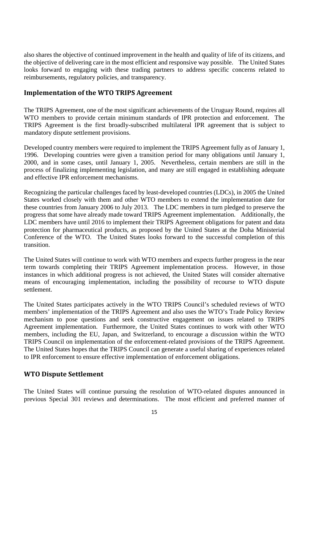also shares the objective of continued improvement in the health and quality of life of its citizens, and the objective of delivering care in the most efficient and responsive way possible. The United States looks forward to engaging with these trading partners to address specific concerns related to reimbursements, regulatory policies, and transparency.

#### **Implementation of the WTO TRIPS Agreement**

The TRIPS Agreement, one of the most significant achievements of the Uruguay Round, requires all WTO members to provide certain minimum standards of IPR protection and enforcement. The TRIPS Agreement is the first broadly-subscribed multilateral IPR agreement that is subject to mandatory dispute settlement provisions.

Developed country members were required to implement the TRIPS Agreement fully as of January 1, 1996. Developing countries were given a transition period for many obligations until January 1, 2000, and in some cases, until January 1, 2005. Nevertheless, certain members are still in the process of finalizing implementing legislation, and many are still engaged in establishing adequate and effective IPR enforcement mechanisms.

Recognizing the particular challenges faced by least-developed countries (LDCs), in 2005 the United States worked closely with them and other WTO members to extend the implementation date for these countries from January 2006 to July 2013. The LDC members in turn pledged to preserve the progress that some have already made toward TRIPS Agreement implementation. Additionally, the LDC members have until 2016 to implement their TRIPS Agreement obligations for patent and data protection for pharmaceutical products, as proposed by the United States at the Doha Ministerial Conference of the WTO. The United States looks forward to the successful completion of this transition.

The United States will continue to work with WTO members and expects further progress in the near term towards completing their TRIPS Agreement implementation process. However, in those instances in which additional progress is not achieved, the United States will consider alternative means of encouraging implementation, including the possibility of recourse to WTO dispute settlement.

The United States participates actively in the WTO TRIPS Council's scheduled reviews of WTO members' implementation of the TRIPS Agreement and also uses the WTO's Trade Policy Review mechanism to pose questions and seek constructive engagement on issues related to TRIPS Agreement implementation. Furthermore, the United States continues to work with other WTO members, including the EU, Japan, and Switzerland, to encourage a discussion within the WTO TRIPS Council on implementation of the enforcement-related provisions of the TRIPS Agreement. The United States hopes that the TRIPS Council can generate a useful sharing of experiences related to IPR enforcement to ensure effective implementation of enforcement obligations.

# **WTO Dispute Settlement**

The United States will continue pursuing the resolution of WTO-related disputes announced in previous Special 301 reviews and determinations. The most efficient and preferred manner of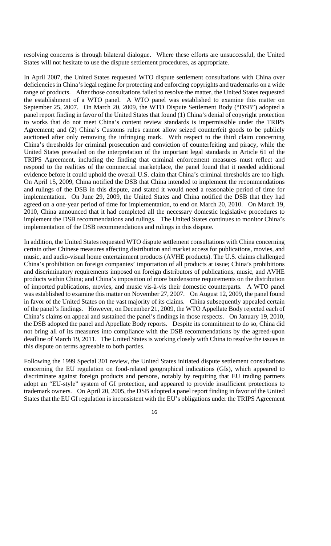resolving concerns is through bilateral dialogue. Where these efforts are unsuccessful, the United States will not hesitate to use the dispute settlement procedures, as appropriate.

In April 2007, the United States requested WTO dispute settlement consultations with China over deficiencies in China's legal regime for protecting and enforcing copyrights and trademarks on a wide range of products. After those consultations failed to resolve the matter, the United States requested the establishment of a WTO panel. A WTO panel was established to examine this matter on September 25, 2007. On March 20, 2009, the WTO Dispute Settlement Body ("DSB") adopted a panel report finding in favor of the United States that found (1) China's denial of copyright protection to works that do not meet China's content review standards is impermissible under the TRIPS Agreement; and (2) China's Customs rules cannot allow seized counterfeit goods to be publicly auctioned after only removing the infringing mark. With respect to the third claim concerning China's thresholds for criminal prosecution and conviction of counterfeiting and piracy, while the United States prevailed on the interpretation of the important legal standards in Article 61 of the TRIPS Agreement, including the finding that criminal enforcement measures must reflect and respond to the realities of the commercial marketplace, the panel found that it needed additional evidence before it could uphold the overall U.S. claim that China's criminal thresholds are too high. On April 15, 2009, China notified the DSB that China intended to implement the recommendations and rulings of the DSB in this dispute, and stated it would need a reasonable period of time for implementation. On June 29, 2009, the United States and China notified the DSB that they had agreed on a one-year period of time for implementation, to end on March 20, 2010. On March 19, 2010, China announced that it had completed all the necessary domestic legislative procedures to implement the DSB recommendations and rulings. The United States continues to monitor China's implementation of the DSB recommendations and rulings in this dispute.

In addition, the United States requested WTO dispute settlement consultations with China concerning certain other Chinese measures affecting distribution and market access for publications, movies, and music, and audio-visual home entertainment products (AVHE products). The U.S. claims challenged China's prohibition on foreign companies' importation of all products at issue; China's prohibitions and discriminatory requirements imposed on foreign distributors of publications, music, and AVHE products within China; and China's imposition of more burdensome requirements on the distribution of imported publications, movies, and music vis-à-vis their domestic counterparts. A WTO panel was established to examine this matter on November 27, 2007. On August 12, 2009, the panel found in favor of the United States on the vast majority of its claims. China subsequently appealed certain of the panel's findings. However, on December 21, 2009, the WTO Appellate Body rejected each of China's claims on appeal and sustained the panel's findings in those respects. On January 19, 2010, the DSB adopted the panel and Appellate Body reports. Despite its commitment to do so, China did not bring all of its measures into compliance with the DSB recommendations by the agreed-upon deadline of March 19, 2011. The United States is working closely with China to resolve the issues in this dispute on terms agreeable to both parties.

Following the 1999 Special 301 review, the United States initiated dispute settlement consultations concerning the EU regulation on food-related geographical indications (GIs), which appeared to discriminate against foreign products and persons, notably by requiring that EU trading partners adopt an "EU-style" system of GI protection, and appeared to provide insufficient protections to trademark owners. On April 20, 2005, the DSB adopted a panel report finding in favor of the United States that the EU GI regulation is inconsistent with the EU's obligations under the TRIPS Agreement

<sup>16</sup>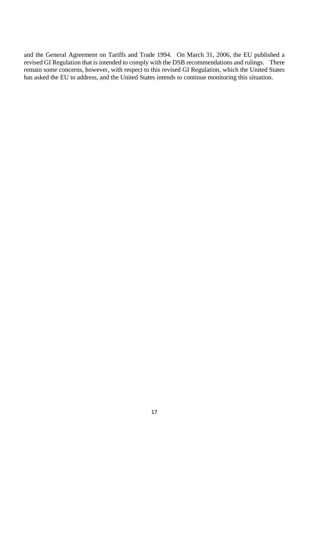and the General Agreement on Tariffs and Trade 1994. On March 31, 2006, the EU published a revised GI Regulation that is intended to comply with the DSB recommendations and rulings. There remain some concerns, however, with respect to this revised GI Regulation, which the United States has asked the EU to address, and the United States intends to continue monitoring this situation.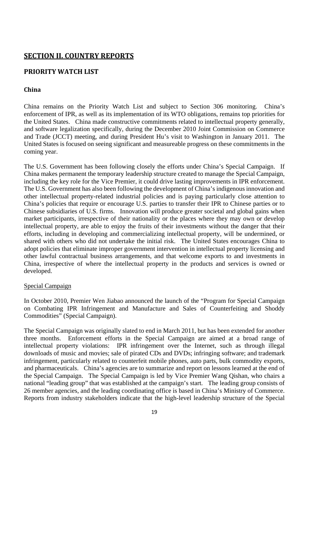# **SECTION II. COUNTRY REPORTS**

# **PRIORITY WATCH LIST**

# **China**

China remains on the Priority Watch List and subject to Section 306 monitoring. China's enforcement of IPR, as well as its implementation of its WTO obligations, remains top priorities for the United States. China made constructive commitments related to intellectual property generally, and software legalization specifically, during the December 2010 Joint Commission on Commerce and Trade (JCCT) meeting, and during President Hu's visit to Washington in January 2011. The United States is focused on seeing significant and measureable progress on these commitments in the coming year.

The U.S. Government has been following closely the efforts under China's Special Campaign. If China makes permanent the temporary leadership structure created to manage the Special Campaign, including the key role for the Vice Premier, it could drive lasting improvements in IPR enforcement. The U.S. Government has also been following the development of China's indigenous innovation and other intellectual property-related industrial policies and is paying particularly close attention to China's policies that require or encourage U.S. parties to transfer their IPR to Chinese parties or to Chinese subsidiaries of U.S. firms. Innovation will produce greater societal and global gains when market participants, irrespective of their nationality or the places where they may own or develop intellectual property, are able to enjoy the fruits of their investments without the danger that their efforts, including in developing and commercializing intellectual property, will be undermined, or shared with others who did not undertake the initial risk. The United States encourages China to adopt policies that eliminate improper government intervention in intellectual property licensing and other lawful contractual business arrangements, and that welcome exports to and investments in China, irrespective of where the intellectual property in the products and services is owned or developed.

#### Special Campaign

In October 2010, Premier Wen Jiabao announced the launch of the "Program for Special Campaign on Combating IPR Infringement and Manufacture and Sales of Counterfeiting and Shoddy Commodities" (Special Campaign).

The Special Campaign was originally slated to end in March 2011, but has been extended for another three months. Enforcement efforts in the Special Campaign are aimed at a broad range of intellectual property violations: IPR infringement over the Internet, such as through illegal downloads of music and movies; sale of pirated CDs and DVDs; infringing software; and trademark infringement, particularly related to counterfeit mobile phones, auto parts, bulk commodity exports, and pharmaceuticals. China's agencies are to summarize and report on lessons learned at the end of the Special Campaign. The Special Campaign is led by Vice Premier Wang Qishan, who chairs a national "leading group" that was established at the campaign's start. The leading group consists of 26 member agencies, and the leading coordinating office is based in China's Ministry of Commerce. Reports from industry stakeholders indicate that the high-level leadership structure of the Special

<sup>19</sup>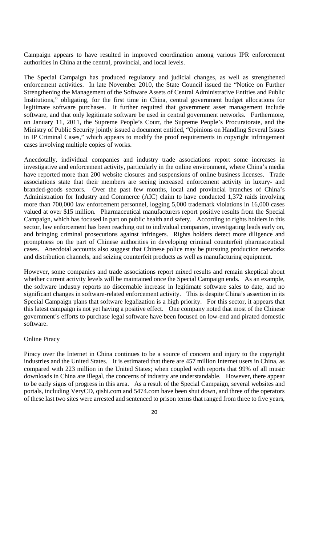Campaign appears to have resulted in improved coordination among various IPR enforcement authorities in China at the central, provincial, and local levels.

The Special Campaign has produced regulatory and judicial changes, as well as strengthened enforcement activities. In late November 2010, the State Council issued the "Notice on Further Strengthening the Management of the Software Assets of Central Administrative Entities and Public Institutions," obligating, for the first time in China, central government budget allocations for legitimate software purchases. It further required that government asset management include software, and that only legitimate software be used in central government networks. Furthermore, on January 11, 2011, the Supreme People's Court, the Supreme People's Procuratorate, and the Ministry of Public Security jointly issued a document entitled, "Opinions on Handling Several Issues in IP Criminal Cases," which appears to modify the proof requirements in copyright infringement cases involving multiple copies of works.

Anecdotally, individual companies and industry trade associations report some increases in investigative and enforcement activity, particularly in the online environment, where China's media have reported more than 200 website closures and suspensions of online business licenses. Trade associations state that their members are seeing increased enforcement activity in luxury- and branded-goods sectors. Over the past few months, local and provincial branches of China's Administration for Industry and Commerce (AIC) claim to have conducted 1,372 raids involving more than 700,000 law enforcement personnel, logging 5,000 trademark violations in 16,000 cases valued at over \$15 million. Pharmaceutical manufacturers report positive results from the Special Campaign, which has focused in part on public health and safety. According to rights holders in this sector, law enforcement has been reaching out to individual companies, investigating leads early on, and bringing criminal prosecutions against infringers. Rights holders detect more diligence and promptness on the part of Chinese authorities in developing criminal counterfeit pharmaceutical cases. Anecdotal accounts also suggest that Chinese police may be pursuing production networks and distribution channels, and seizing counterfeit products as well as manufacturing equipment.

However, some companies and trade associations report mixed results and remain skeptical about whether current activity levels will be maintained once the Special Campaign ends. As an example, the software industry reports no discernable increase in legitimate software sales to date, and no significant changes in software-related enforcement activity. This is despite China's assertion in its Special Campaign plans that software legalization is a high priority. For this sector, it appears that this latest campaign is not yet having a positive effect. One company noted that most of the Chinese government's efforts to purchase legal software have been focused on low-end and pirated domestic software.

# Online Piracy

Piracy over the Internet in China continues to be a source of concern and injury to the copyright industries and the United States. It is estimated that there are 457 million Internet users in China, as compared with 223 million in the United States; when coupled with reports that 99% of all music downloads in China are illegal, the concerns of industry are understandable. However, there appear to be early signs of progress in this area. As a result of the Special Campaign, several websites and portals, including VeryCD, qishi.com and 5474.com have been shut down, and three of the operators of these last two sites were arrested and sentenced to prison terms that ranged from three to five years,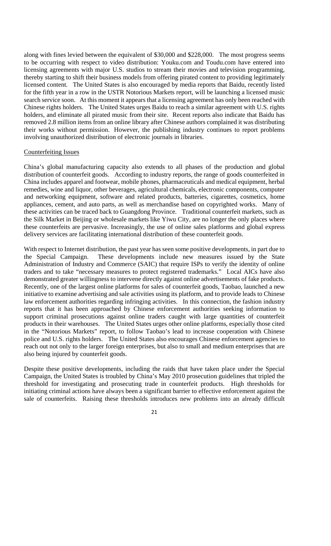along with fines levied between the equivalent of \$30,000 and \$228,000. The most progress seems to be occurring with respect to video distribution: Youku.com and Toudu.com have entered into licensing agreements with major U.S. studios to stream their movies and television programming, thereby starting to shift their business models from offering pirated content to providing legitimately licensed content. The United States is also encouraged by media reports that Baidu, recently listed for the fifth year in a row in the USTR Notorious Markets report, will be launching a licensed music search service soon. At this moment it appears that a licensing agreement has only been reached with Chinese rights holders. The United States urges Baidu to reach a similar agreement with U.S. rights holders, and eliminate all pirated music from their site. Recent reports also indicate that Baidu has removed 2.8 million items from an online library after Chinese authors complained it was distributing their works without permission. However, the publishing industry continues to report problems involving unauthorized distribution of electronic journals in libraries.

#### Counterfeiting Issues

China's global manufacturing capacity also extends to all phases of the production and global distribution of counterfeit goods. According to industry reports, the range of goods counterfeited in China includes apparel and footwear, mobile phones, pharmaceuticals and medical equipment, herbal remedies, wine and liquor, other beverages, agricultural chemicals, electronic components, computer and networking equipment, software and related products, batteries, cigarettes, cosmetics, home appliances, cement, and auto parts, as well as merchandise based on copyrighted works. Many of these activities can be traced back to Guangdong Province. Traditional counterfeit markets, such as the Silk Market in Beijing or wholesale markets like Yiwu City, are no longer the only places where these counterfeits are pervasive. Increasingly, the use of online sales platforms and global express delivery services are facilitating international distribution of these counterfeit goods.

With respect to Internet distribution, the past year has seen some positive developments, in part due to the Special Campaign. These developments include new measures issued by the State Administration of Industry and Commerce (SAIC) that require ISPs to verify the identity of online traders and to take "necessary measures to protect registered trademarks." Local AICs have also demonstrated greater willingness to intervene directly against online advertisements of fake products. Recently, one of the largest online platforms for sales of counterfeit goods, Taobao, launched a new initiative to examine advertising and sale activities using its platform, and to provide leads to Chinese law enforcement authorities regarding infringing activities. In this connection, the fashion industry reports that it has been approached by Chinese enforcement authorities seeking information to support criminal prosecutions against online traders caught with large quantities of counterfeit products in their warehouses. The United States urges other online platforms, especially those cited in the "Notorious Markets" report, to follow Taobao's lead to increase cooperation with Chinese police and U.S. rights holders. The United States also encourages Chinese enforcement agencies to reach out not only to the larger foreign enterprises, but also to small and medium enterprises that are also being injured by counterfeit goods.

Despite these positive developments, including the raids that have taken place under the Special Campaign, the United States is troubled by China's May 2010 prosecution guidelines that tripled the threshold for investigating and prosecuting trade in counterfeit products. High thresholds for initiating criminal actions have always been a significant barrier to effective enforcement against the sale of counterfeits. Raising these thresholds introduces new problems into an already difficult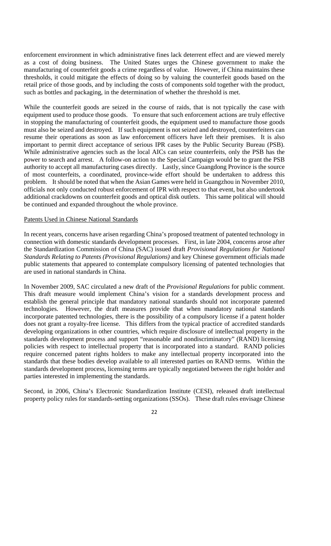enforcement environment in which administrative fines lack deterrent effect and are viewed merely as a cost of doing business. The United States urges the Chinese government to make the manufacturing of counterfeit goods a crime regardless of value. However, if China maintains these thresholds, it could mitigate the effects of doing so by valuing the counterfeit goods based on the retail price of those goods, and by including the costs of components sold together with the product, such as bottles and packaging, in the determination of whether the threshold is met.

While the counterfeit goods are seized in the course of raids, that is not typically the case with equipment used to produce those goods. To ensure that such enforcement actions are truly effective in stopping the manufacturing of counterfeit goods, the equipment used to manufacture those goods must also be seized and destroyed. If such equipment is not seized and destroyed, counterfeiters can resume their operations as soon as law enforcement officers have left their premises. It is also important to permit direct acceptance of serious IPR cases by the Public Security Bureau (PSB). While administrative agencies such as the local AICs can seize counterfeits, only the PSB has the power to search and arrest. A follow-on action to the Special Campaign would be to grant the PSB authority to accept all manufacturing cases directly. Lastly, since Guangdong Province is the source of most counterfeits, a coordinated, province-wide effort should be undertaken to address this problem. It should be noted that when the Asian Games were held in Guangzhou in November 2010, officials not only conducted robust enforcement of IPR with respect to that event, but also undertook additional crackdowns on counterfeit goods and optical disk outlets. This same political will should be continued and expanded throughout the whole province.

#### Patents Used in Chinese National Standards

In recent years, concerns have arisen regarding China's proposed treatment of patented technology in connection with domestic standards development processes. First, in late 2004, concerns arose after the Standardization Commission of China (SAC) issued draft *Provisional Regulations for National Standards Relating to Patents (Provisional Regulations)* and key Chinese government officials made public statements that appeared to contemplate compulsory licensing of patented technologies that are used in national standards in China.

In November 2009, SAC circulated a new draft of the *Provisional Regulations* for public comment. This draft measure would implement China's vision for a standards development process and establish the general principle that mandatory national standards should not incorporate patented technologies. However, the draft measures provide that when mandatory national standards incorporate patented technologies, there is the possibility of a compulsory license if a patent holder does not grant a royalty-free license. This differs from the typical practice of accredited standards developing organizations in other countries, which require disclosure of intellectual property in the standards development process and support "reasonable and nondiscriminatory" (RAND) licensing policies with respect to intellectual property that is incorporated into a standard. RAND policies require concerned patent rights holders to make any intellectual property incorporated into the standards that these bodies develop available to all interested parties on RAND terms. Within the standards development process, licensing terms are typically negotiated between the right holder and parties interested in implementing the standards.

Second, in 2006, China's Electronic Standardization Institute (CESI), released draft intellectual property policy rules for standards-setting organizations (SSOs). These draft rules envisage Chinese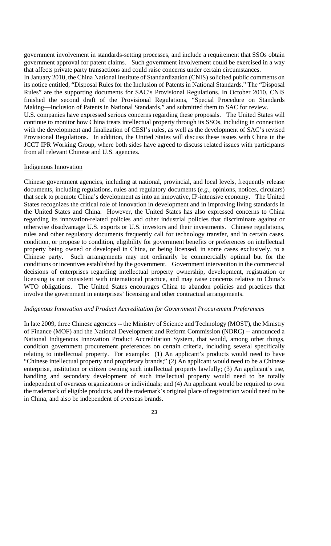government involvement in standards-setting processes, and include a requirement that SSOs obtain government approval for patent claims. Such government involvement could be exercised in a way that affects private party transactions and could raise concerns under certain circumstances.

In January 2010, the China National Institute of Standardization (CNIS) solicited public comments on its notice entitled, "Disposal Rules for the Inclusion of Patents in National Standards." The "Disposal Rules" are the supporting documents for SAC's Provisional Regulations. In October 2010, CNIS finished the second draft of the Provisional Regulations, "Special Procedure on Standards Making—Inclusion of Patents in National Standards," and submitted them to SAC for review.

U.S. companies have expressed serious concerns regarding these proposals. The United States will continue to monitor how China treats intellectual property through its SSOs, including in connection with the development and finalization of CESI's rules, as well as the development of SAC's revised Provisional Regulations. In addition, the United States will discuss these issues with China in the JCCT IPR Working Group, where both sides have agreed to discuss related issues with participants from all relevant Chinese and U.S. agencies.

#### Indigenous Innovation

Chinese government agencies, including at national, provincial, and local levels, frequently release documents, including regulations, rules and regulatory documents (*e.g*., opinions, notices, circulars) that seek to promote China's development as into an innovative, IP-intensive economy. The United States recognizes the critical role of innovation in development and in improving living standards in the United States and China. However, the United States has also expressed concerns to China regarding its innovation-related policies and other industrial policies that discriminate against or otherwise disadvantage U.S. exports or U.S. investors and their investments. Chinese regulations, rules and other regulatory documents frequently call for technology transfer, and in certain cases, condition, or propose to condition, eligibility for government benefits or preferences on intellectual property being owned or developed in China, or being licensed, in some cases exclusively, to a Chinese party. Such arrangements may not ordinarily be commercially optimal but for the conditions or incentives established by the government. Government intervention in the commercial decisions of enterprises regarding intellectual property ownership, development, registration or licensing is not consistent with international practice, and may raise concerns relative to China's WTO obligations. The United States encourages China to abandon policies and practices that involve the government in enterprises' licensing and other contractual arrangements.

#### *Indigenous Innovation and Product Accreditation for Government Procurement Preferences*

In late 2009, three Chinese agencies -- the Ministry of Science and Technology (MOST), the Ministry of Finance (MOF) and the National Development and Reform Commission (NDRC) -- announced a National Indigenous Innovation Product Accreditation System, that would, among other things, condition government procurement preferences on certain criteria, including several specifically relating to intellectual property. For example: (1) An applicant's products would need to have "Chinese intellectual property and proprietary brands;" (2) An applicant would need to be a Chinese enterprise, institution or citizen owning such intellectual property lawfully; (3) An applicant's use, handling and secondary development of such intellectual property would need to be totally independent of overseas organizations or individuals; and (4) An applicant would be required to own the trademark of eligible products, and the trademark's original place of registration would need to be in China, and also be independent of overseas brands.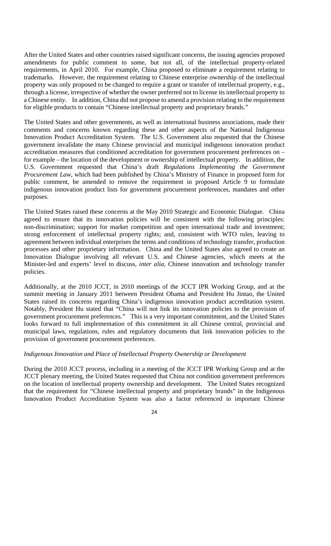After the United States and other countries raised significant concerns, the issuing agencies proposed amendments for public comment to some, but not all, of the intellectual property-related requirements, in April 2010. For example, China proposed to eliminate a requirement relating to trademarks. However, the requirement relating to Chinese enterprise ownership of the intellectual property was only proposed to be changed to require a grant or transfer of intellectual property, e.g., through a license, irrespective of whether the owner preferred not to license its intellectual property to a Chinese entity. In addition, China did not propose to amend a provision relating to the requirement for eligible products to contain "Chinese intellectual property and proprietary brands."

The United States and other governments, as well as international business associations, made their comments and concerns known regarding these and other aspects of the National Indigenous Innovation Product Accreditation System. The U.S. Government also requested that the Chinese government invalidate the many Chinese provincial and municipal indigenous innovation product accreditation measures that conditioned accreditation for government procurement preferences on – for example – the location of the development or ownership of intellectual property. In addition, the U.S. Government requested that China's draft *Regulations Implementing the Government Procurement Law*, which had been published by China's Ministry of Finance in proposed form for public comment, be amended to remove the requirement in proposed Article 9 to formulate indigenous innovation product lists for government procurement preferences, mandates and other purposes.

The United States raised these concerns at the May 2010 Strategic and Economic Dialogue. China agreed to ensure that its innovation policies will be consistent with the following principles: non-discrimination; support for market competition and open international trade and investment; strong enforcement of intellectual property rights; and, consistent with WTO rules, leaving to agreement between individual enterprises the terms and conditions of technology transfer, production processes and other proprietary information. China and the United States also agreed to create an Innovation Dialogue involving all relevant U.S. and Chinese agencies, which meets at the Minister-led and experts' level to discuss, *inter alia,* Chinese innovation and technology transfer policies.

Additionally, at the 2010 JCCT, in 2010 meetings of the JCCT IPR Working Group, and at the summit meeting in January 2011 between President Obama and President Hu Jintao, the United States raised its concerns regarding China's indigenous innovation product accreditation system. Notably, President Hu stated that "China will not link its innovation policies to the provision of government procurement preferences." This is a very important commitment, and the United States looks forward to full implementation of this commitment in all Chinese central, provincial and municipal laws, regulations, rules and regulatory documents that link innovation policies to the provision of government procurement preferences.

#### *Indigenous Innovation and Place of Intellectual Property Ownership or Development*

During the 2010 JCCT process, including in a meeting of the JCCT IPR Working Group and at the JCCT plenary meeting, the United States requested that China not condition government preferences on the location of intellectual property ownership and development. The United States recognized that the requirement for "Chinese intellectual property and proprietary brands" in the Indigenous Innovation Product Accreditation System was also a factor referenced in important Chinese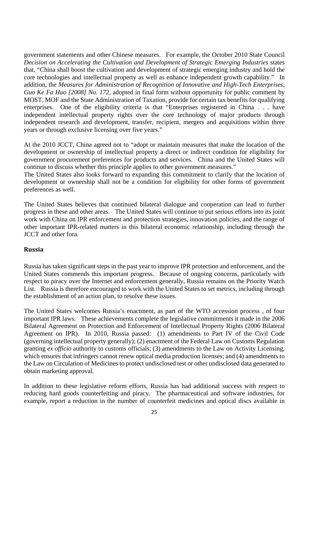government statements and other Chinese measures. For example, the October 2010 State Council *Decision on Accelerating the Cultivation and Development of Strategic Emerging Industries* states that, "China shall boost the cultivation and development of strategic emerging industry and hold the core technologies and intellectual property as well as enhance independent growth capability." In addition, the *Measures for Administration of Recognition of Innovative and High-Tech Enterprises, Guo Ke Fa Huo [2008] No. 172*, adopted in final form without opportunity for public comment by MOST, MOF and the State Administration of Taxation, provide for certain tax benefits for qualifying enterprises. One of the eligibility criteria is that "Enterprises registered in China . . . have independent intellectual property rights over the core technology of major products through independent research and development, transfer, recipient, mergers and acquisitions within three years or through exclusive licensing over five years."

At the 2010 JCCT, China agreed not to "adopt or maintain measures that make the location of the development or ownership of intellectual property a direct or indirect condition for eligibility for government procurement preferences for products and services. China and the United States will continue to discuss whether this principle applies to other government measures."

The United States also looks forward to expanding this commitment to clarify that the location of development or ownership shall not be a condition for eligibility for other forms of government preferences as well.

The United States believes that continued bilateral dialogue and cooperation can lead to further progress in these and other areas. The United States will continue to put serious efforts into its joint work with China on IPR enforcement and protection strategies, innovation policies, and the range of other important IPR-related matters in this bilateral economic relationship, including through the JCCT and other fora.

#### **Russia**

Russia has taken significant steps in the past year to improve IPR protection and enforcement, and the United States commends this important progress. Because of ongoing concerns, particularly with respect to piracy over the Internet and enforcement generally, Russia remains on the Priority Watch List. Russia is therefore encouraged to work with the United States to set metrics, including through the establishment of an action plan, to resolve these issues.

The United States welcomes Russia's enactment, as part of the WTO accession process , of four important IPR laws. These achievements complete the legislative commitments it made in the 2006 Bilateral Agreement on Protection and Enforcement of Intellectual Property Rights (2006 Bilateral Agreement on IPR). In 2010, Russia passed: (1) amendments to Part IV of the Civil Code (governing intellectual property generally); (2) enactment of the Federal Law on Customs Regulation granting *ex officio* authority to customs officials; (3) amendments to the Law on Activity Licensing, which ensures that infringers cannot renew optical media production licenses; and (4) amendments to the Law on Circulation of Medicines to protect undisclosed test or other undisclosed data generated to obtain marketing approval.

In addition to these legislative reform efforts, Russia has had additional success with respect to reducing hard goods counterfeiting and piracy. The pharmaceutical and software industries, for example, report a reduction in the number of counterfeit medicines and optical discs available in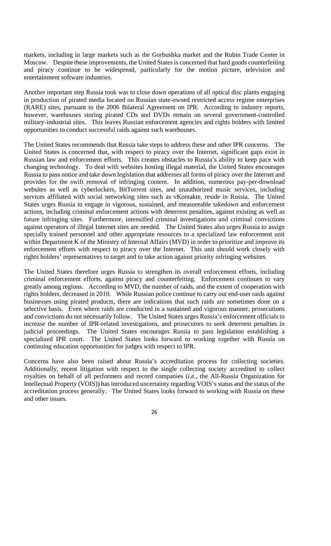markets, including in large markets such as the Gorbushka market and the Rubin Trade Center in Moscow. Despite these improvements, the United States is concerned that hard goods counterfeiting and piracy continue to be widespread, particularly for the motion picture, television and entertainment software industries.

Another important step Russia took was to close down operations of all optical disc plants engaging in production of pirated media located on Russian state-owned restricted access regime enterprises (RARE) sites, pursuant to the 2006 Bilateral Agreement on IPR. According to industry reports, however, warehouses storing pirated CDs and DVDs remain on several government-controlled military-industrial sites. This leaves Russian enforcement agencies and rights holders with limited opportunities to conduct successful raids against such warehouses.

The United States recommends that Russia take steps to address these and other IPR concerns. The United States is concerned that, with respect to piracy over the Internet, significant gaps exist in Russian law and enforcement efforts. This creates obstacles to Russia's ability to keep pace with changing technology. To deal with websites hosting illegal material, the United States encourages Russia to pass notice and take down legislation that addresses all forms of piracy over the Internet and provides for the swift removal of infringing content. In addition, numerous pay-per-download websites as well as cyberlockers, BitTorrent sites, and unauthorized music services, including services affiliated with social networking sites such as vKontakte, reside in Russia. The United States urges Russia to engage in vigorous, sustained, and measureable takedown and enforcement actions, including criminal enforcement actions with deterrent penalties, against existing as well as future infringing sites. Furthermore, intensified criminal investigations and criminal convictions against operators of illegal Internet sites are needed. The United States also urges Russia to assign specially trained personnel and other appropriate resources to a specialized law enforcement unit within Department K of the Ministry of Internal Affairs (MVD) in order to prioritize and improve its enforcement efforts with respect to piracy over the Internet. This unit should work closely with rights holders' representatives to target and to take action against priority infringing websites.

The United States therefore urges Russia to strengthen its overall enforcement efforts, including criminal enforcement efforts, against piracy and counterfeiting. Enforcement continues to vary greatly among regions. According to MVD, the number of raids, and the extent of cooperation with rights holders, decreased in 2010. While Russian police continue to carry out end-user raids against businesses using pirated products, there are indications that such raids are sometimes done on a selective basis. Even where raids are conducted in a sustained and vigorous manner, prosecutions and convictions do not necessarily follow. The United States urges Russia's enforcement officials to increase the number of IPR-related investigations, and prosecutors to seek deterrent penalties in judicial proceedings. The United States encourages Russia to pass legislation establishing a specialized IPR court. The United States looks forward to working together with Russia on continuing education opportunities for judges with respect to IPR.

Concerns have also been raised about Russia's accreditation process for collecting societies. Additionally, recent litigation with respect to the single collecting society accredited to collect royalties on behalf of all performers and record companies (*i.e.*, the All-Russia Organization for Intellectual Property (VOIS)) has introduced uncertainty regarding VOIS's status and the status of the accreditation process generally. The United States looks forward to working with Russia on these and other issues.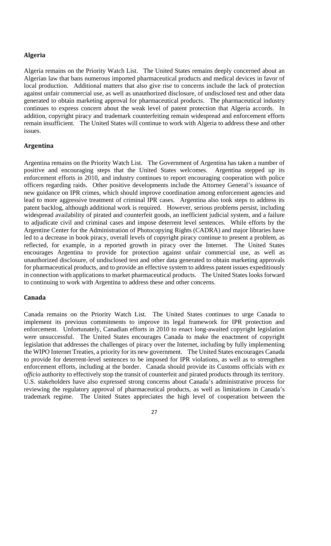# **Algeria**

Algeria remains on the Priority Watch List. The United States remains deeply concerned about an Algerian law that bans numerous imported pharmaceutical products and medical devices in favor of local production. Additional matters that also give rise to concerns include the lack of protection against unfair commercial use, as well as unauthorized disclosure, of undisclosed test and other data generated to obtain marketing approval for pharmaceutical products. The pharmaceutical industry continues to express concern about the weak level of patent protection that Algeria accords. In addition, copyright piracy and trademark counterfeiting remain widespread and enforcement efforts remain insufficient. The United States will continue to work with Algeria to address these and other issues.

#### **Argentina**

Argentina remains on the Priority Watch List. The Government of Argentina has taken a number of positive and encouraging steps that the United States welcomes. Argentina stepped up its enforcement efforts in 2010, and industry continues to report encouraging cooperation with police officers regarding raids. Other positive developments include the Attorney General's issuance of new guidance on IPR crimes, which should improve coordination among enforcement agencies and lead to more aggressive treatment of criminal IPR cases. Argentina also took steps to address its patent backlog, although additional work is required. However, serious problems persist, including widespread availability of pirated and counterfeit goods, an inefficient judicial system, and a failure to adjudicate civil and criminal cases and impose deterrent level sentences. While efforts by the Argentine Center for the Administration of Photocopying Rights (CADRA) and major libraries have led to a decrease in book piracy, overall levels of copyright piracy continue to present a problem, as reflected, for example, in a reported growth in piracy over the Internet. The United States encourages Argentina to provide for protection against unfair commercial use, as well as unauthorized disclosure, of undisclosed test and other data generated to obtain marketing approvals for pharmaceutical products, and to provide an effective system to address patent issues expeditiously in connection with applications to market pharmaceutical products. The United States looks forward to continuing to work with Argentina to address these and other concerns.

# **Canada**

Canada remains on the Priority Watch List. The United States continues to urge Canada to implement its previous commitments to improve its legal framework for IPR protection and enforcement. Unfortunately, Canadian efforts in 2010 to enact long-awaited copyright legislation were unsuccessful. The United States encourages Canada to make the enactment of copyright legislation that addresses the challenges of piracy over the Internet, including by fully implementing the WIPO Internet Treaties, a priority for its new government. The United States encourages Canada to provide for deterrent-level sentences to be imposed for IPR violations, as well as to strengthen enforcement efforts, including at the border. Canada should provide its Customs officials with *ex officio* authority to effectively stop the transit of counterfeit and pirated products through its territory. U.S. stakeholders have also expressed strong concerns about Canada's administrative process for reviewing the regulatory approval of pharmaceutical products, as well as limitations in Canada's trademark regime. The United States appreciates the high level of cooperation between the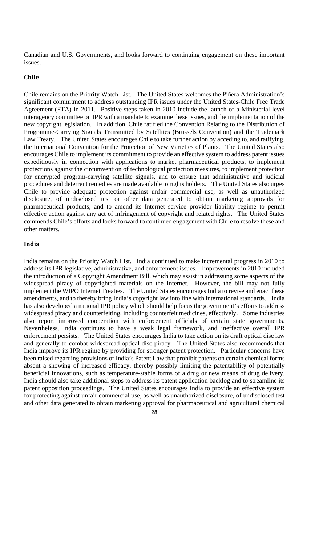Canadian and U.S. Governments, and looks forward to continuing engagement on these important issues.

#### **Chile**

Chile remains on the Priority Watch List. The United States welcomes the Piñera Administration's significant commitment to address outstanding IPR issues under the United States-Chile Free Trade Agreement (FTA) in 2011. Positive steps taken in 2010 include the launch of a Ministerial-level interagency committee on IPR with a mandate to examine these issues, and the implementation of the new copyright legislation. In addition, Chile ratified the Convention Relating to the Distribution of Programme-Carrying Signals Transmitted by Satellites (Brussels Convention) and the Trademark Law Treaty. The United States encourages Chile to take further action by acceding to, and ratifying, the International Convention for the Protection of New Varieties of Plants. The United States also encourages Chile to implement its commitment to provide an effective system to address patent issues expeditiously in connection with applications to market pharmaceutical products, to implement protections against the circumvention of technological protection measures, to implement protection for encrypted program-carrying satellite signals, and to ensure that administrative and judicial procedures and deterrent remedies are made available to rights holders. The United States also urges Chile to provide adequate protection against unfair commercial use, as well as unauthorized disclosure, of undisclosed test or other data generated to obtain marketing approvals for pharmaceutical products, and to amend its Internet service provider liability regime to permit effective action against any act of infringement of copyright and related rights. The United States commends Chile's efforts and looks forward to continued engagement with Chile to resolve these and other matters.

#### **India**

India remains on the Priority Watch List. India continued to make incremental progress in 2010 to address its IPR legislative, administrative, and enforcement issues. Improvements in 2010 included the introduction of a Copyright Amendment Bill, which may assist in addressing some aspects of the widespread piracy of copyrighted materials on the Internet. However, the bill may not fully implement the WIPO Internet Treaties. The United States encourages India to revise and enact these amendments, and to thereby bring India's copyright law into line with international standards. India has also developed a national IPR policy which should help focus the government's efforts to address widespread piracy and counterfeiting, including counterfeit medicines, effectively. Some industries also report improved cooperation with enforcement officials of certain state governments. Nevertheless, India continues to have a weak legal framework, and ineffective overall IPR enforcement persists. The United States encourages India to take action on its draft optical disc law and generally to combat widespread optical disc piracy. The United States also recommends that India improve its IPR regime by providing for stronger patent protection. Particular concerns have been raised regarding provisions of India's Patent Law that prohibit patents on certain chemical forms absent a showing of increased efficacy, thereby possibly limiting the patentability of potentially beneficial innovations, such as temperature-stable forms of a drug or new means of drug delivery. India should also take additional steps to address its patent application backlog and to streamline its patent opposition proceedings. The United States encourages India to provide an effective system for protecting against unfair commercial use, as well as unauthorized disclosure, of undisclosed test and other data generated to obtain marketing approval for pharmaceutical and agricultural chemical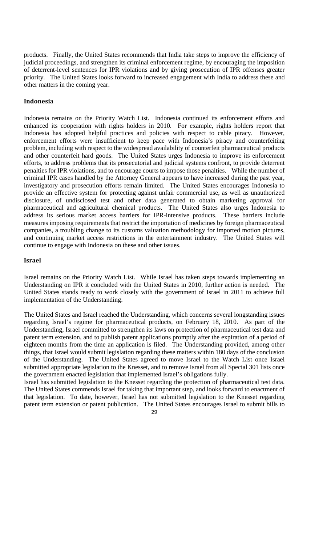products. Finally, the United States recommends that India take steps to improve the efficiency of judicial proceedings, and strengthen its criminal enforcement regime, by encouraging the imposition of deterrent-level sentences for IPR violations and by giving prosecution of IPR offenses greater priority. The United States looks forward to increased engagement with India to address these and other matters in the coming year.

#### **Indonesia**

Indonesia remains on the Priority Watch List. Indonesia continued its enforcement efforts and enhanced its cooperation with rights holders in 2010. For example, rights holders report that Indonesia has adopted helpful practices and policies with respect to cable piracy. However, enforcement efforts were insufficient to keep pace with Indonesia's piracy and counterfeiting problem, including with respect to the widespread availability of counterfeit pharmaceutical products and other counterfeit hard goods. The United States urges Indonesia to improve its enforcement efforts, to address problems that its prosecutorial and judicial systems confront, to provide deterrent penalties for IPR violations, and to encourage courts to impose those penalties. While the number of criminal IPR cases handled by the Attorney General appears to have increased during the past year, investigatory and prosecution efforts remain limited. The United States encourages Indonesia to provide an effective system for protecting against unfair commercial use, as well as unauthorized disclosure, of undisclosed test and other data generated to obtain marketing approval for pharmaceutical and agricultural chemical products. The United States also urges Indonesia to address its serious market access barriers for IPR-intensive products. These barriers include measures imposing requirements that restrict the importation of medicines by foreign pharmaceutical companies, a troubling change to its customs valuation methodology for imported motion pictures, and continuing market access restrictions in the entertainment industry. The United States will continue to engage with Indonesia on these and other issues.

#### **Israel**

Israel remains on the Priority Watch List. While Israel has taken steps towards implementing an Understanding on IPR it concluded with the United States in 2010, further action is needed. The United States stands ready to work closely with the government of Israel in 2011 to achieve full implementation of the Understanding.

The United States and Israel reached the Understanding, which concerns several longstanding issues regarding Israel's regime for pharmaceutical products, on February 18, 2010. As part of the Understanding, Israel committed to strengthen its laws on protection of pharmaceutical test data and patent term extension, and to publish patent applications promptly after the expiration of a period of eighteen months from the time an application is filed. The Understanding provided, among other things, that Israel would submit legislation regarding these matters within 180 days of the conclusion of the Understanding. The United States agreed to move Israel to the Watch List once Israel submitted appropriate legislation to the Knesset, and to remove Israel from all Special 301 lists once the government enacted legislation that implemented Israel's obligations fully.

Israel has submitted legislation to the Knesset regarding the protection of pharmaceutical test data. The United States commends Israel for taking that important step, and looks forward to enactment of that legislation. To date, however, Israel has not submitted legislation to the Knesset regarding patent term extension or patent publication. The United States encourages Israel to submit bills to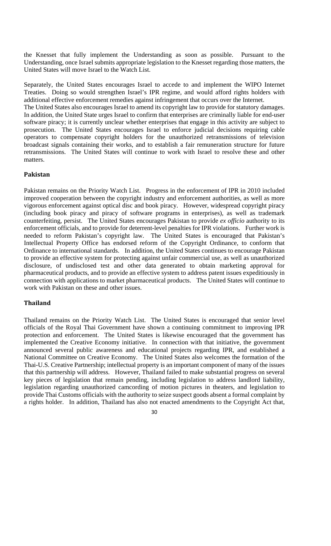the Knesset that fully implement the Understanding as soon as possible. Pursuant to the Understanding, once Israel submits appropriate legislation to the Knesset regarding those matters, the United States will move Israel to the Watch List.

Separately, the United States encourages Israel to accede to and implement the WIPO Internet Treaties. Doing so would strengthen Israel's IPR regime, and would afford rights holders with additional effective enforcement remedies against infringement that occurs over the Internet.

The United States also encourages Israel to amend its copyright law to provide for statutory damages. In addition, the United State urges Israel to confirm that enterprises are criminally liable for end-user software piracy; it is currently unclear whether enterprises that engage in this activity are subject to prosecution. The United States encourages Israel to enforce judicial decisions requiring cable operators to compensate copyright holders for the unauthorized retransmissions of television broadcast signals containing their works, and to establish a fair remuneration structure for future retransmissions. The United States will continue to work with Israel to resolve these and other matters.

#### **Pakistan**

Pakistan remains on the Priority Watch List. Progress in the enforcement of IPR in 2010 included improved cooperation between the copyright industry and enforcement authorities, as well as more vigorous enforcement against optical disc and book piracy. However, widespread copyright piracy (including book piracy and piracy of software programs in enterprises), as well as trademark counterfeiting, persist. The United States encourages Pakistan to provide *ex officio* authority to its enforcement officials, and to provide for deterrent-level penalties for IPR violations. Further work is needed to reform Pakistan's copyright law. The United States is encouraged that Pakistan's Intellectual Property Office has endorsed reform of the Copyright Ordinance, to conform that Ordinance to international standards. In addition, the United States continues to encourage Pakistan to provide an effective system for protecting against unfair commercial use, as well as unauthorized disclosure, of undisclosed test and other data generated to obtain marketing approval for pharmaceutical products, and to provide an effective system to address patent issues expeditiously in connection with applications to market pharmaceutical products. The United States will continue to work with Pakistan on these and other issues.

#### **Thailand**

Thailand remains on the Priority Watch List. The United States is encouraged that senior level officials of the Royal Thai Government have shown a continuing commitment to improving IPR protection and enforcement. The United States is likewise encouraged that the government has implemented the Creative Economy initiative. In connection with that initiative, the government announced several public awareness and educational projects regarding IPR, and established a National Committee on Creative Economy. The United States also welcomes the formation of the Thai-U.S. Creative Partnership; intellectual property is an important component of many of the issues that this partnership will address. However, Thailand failed to make substantial progress on several key pieces of legislation that remain pending, including legislation to address landlord liability, legislation regarding unauthorized camcording of motion pictures in theaters, and legislation to provide Thai Customs officials with the authority to seize suspect goods absent a formal complaint by a rights holder. In addition, Thailand has also not enacted amendments to the Copyright Act that,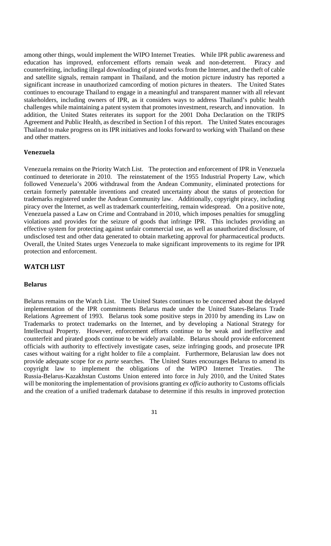among other things, would implement the WIPO Internet Treaties. While IPR public awareness and education has improved, enforcement efforts remain weak and non-deterrent. Piracy and counterfeiting, including illegal downloading of pirated works from the Internet, and the theft of cable and satellite signals, remain rampant in Thailand, and the motion picture industry has reported a significant increase in unauthorized camcording of motion pictures in theaters. The United States continues to encourage Thailand to engage in a meaningful and transparent manner with all relevant stakeholders, including owners of IPR, as it considers ways to address Thailand's public health challenges while maintaining a patent system that promotes investment, research, and innovation. In addition, the United States reiterates its support for the 2001 Doha Declaration on the TRIPS Agreement and Public Health, as described in Section I of this report. The United States encourages Thailand to make progress on its IPR initiatives and looks forward to working with Thailand on these and other matters.

#### **Venezuela**

Venezuela remains on the Priority Watch List. The protection and enforcement of IPR in Venezuela continued to deteriorate in 2010. The reinstatement of the 1955 Industrial Property Law, which followed Venezuela's 2006 withdrawal from the Andean Community, eliminated protections for certain formerly patentable inventions and created uncertainty about the status of protection for trademarks registered under the Andean Community law. Additionally, copyright piracy, including piracy over the Internet, as well as trademark counterfeiting, remain widespread. On a positive note, Venezuela passed a Law on Crime and Contraband in 2010, which imposes penalties for smuggling violations and provides for the seizure of goods that infringe IPR. This includes providing an effective system for protecting against unfair commercial use, as well as unauthorized disclosure, of undisclosed test and other data generated to obtain marketing approval for pharmaceutical products. Overall, the United States urges Venezuela to make significant improvements to its regime for IPR protection and enforcement.

# **WATCH LIST**

#### **Belarus**

Belarus remains on the Watch List. The United States continues to be concerned about the delayed implementation of the IPR commitments Belarus made under the United States-Belarus Trade Relations Agreement of 1993. Belarus took some positive steps in 2010 by amending its Law on Trademarks to protect trademarks on the Internet, and by developing a National Strategy for Intellectual Property. However, enforcement efforts continue to be weak and ineffective and counterfeit and pirated goods continue to be widely available. Belarus should provide enforcement officials with authority to effectively investigate cases, seize infringing goods, and prosecute IPR cases without waiting for a right holder to file a complaint. Furthermore, Belarusian law does not provide adequate scope for *ex parte* searches. The United States encourages Belarus to amend its copyright law to implement the obligations of the WIPO Internet Treaties. The Russia-Belarus-Kazakhstan Customs Union entered into force in July 2010, and the United States will be monitoring the implementation of provisions granting *ex officio* authority to Customs officials and the creation of a unified trademark database to determine if this results in improved protection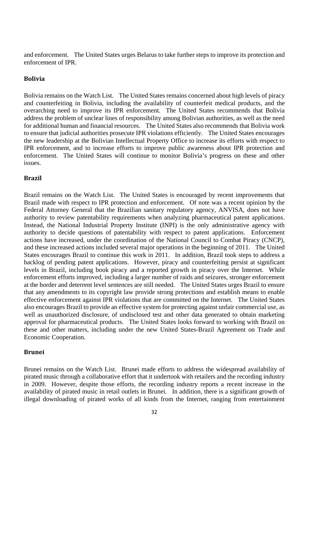and enforcement. The United States urges Belarus to take further steps to improve its protection and enforcement of IPR.

#### **Bolivia**

Bolivia remains on the Watch List. The United States remains concerned about high levels of piracy and counterfeiting in Bolivia, including the availability of counterfeit medical products, and the overarching need to improve its IPR enforcement. The United States recommends that Bolivia address the problem of unclear lines of responsibility among Bolivian authorities, as well as the need for additional human and financial resources. The United States also recommends that Bolivia work to ensure that judicial authorities prosecute IPR violations efficiently. The United States encourages the new leadership at the Bolivian Intellectual Property Office to increase its efforts with respect to IPR enforcement, and to increase efforts to improve public awareness about IPR protection and enforcement. The United States will continue to monitor Bolivia's progress on these and other issues.

#### **Brazil**

Brazil remains on the Watch List. The United States is encouraged by recent improvements that Brazil made with respect to IPR protection and enforcement. Of note was a recent opinion by the Federal Attorney General that the Brazilian sanitary regulatory agency, ANVISA, does not have authority to review patentability requirements when analyzing pharmaceutical patent applications. Instead, the National Industrial Property Institute (INPI) is the only administrative agency with authority to decide questions of patentability with respect to patent applications. Enforcement actions have increased, under the coordination of the National Council to Combat Piracy (CNCP), and these increased actions included several major operations in the beginning of 2011. The United States encourages Brazil to continue this work in 2011. In addition, Brazil took steps to address a backlog of pending patent applications. However, piracy and counterfeiting persist at significant levels in Brazil, including book piracy and a reported growth in piracy over the Internet. While enforcement efforts improved, including a larger number of raids and seizures, stronger enforcement at the border and deterrent level sentences are still needed. The United States urges Brazil to ensure that any amendments to its copyright law provide strong protections and establish means to enable effective enforcement against IPR violations that are committed on the Internet. The United States also encourages Brazil to provide an effective system for protecting against unfair commercial use, as well as unauthorized disclosure, of undisclosed test and other data generated to obtain marketing approval for pharmaceutical products. The United States looks forward to working with Brazil on these and other matters, including under the new United States-Brazil Agreement on Trade and Economic Cooperation.

#### **Brunei**

Brunei remains on the Watch List. Brunei made efforts to address the widespread availability of pirated music through a collaborative effort that it undertook with retailers and the recording industry in 2009. However, despite those efforts, the recording industry reports a recent increase in the availability of pirated music in retail outlets in Brunei. In addition, there is a significant growth of illegal downloading of pirated works of all kinds from the Internet, ranging from entertainment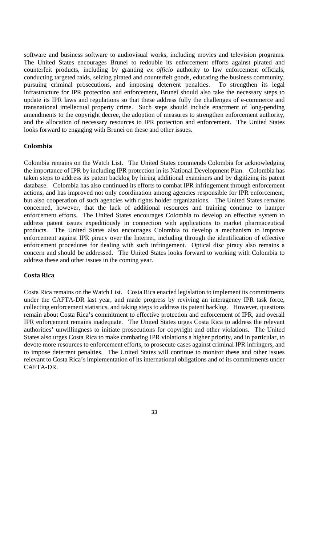software and business software to audiovisual works, including movies and television programs. The United States encourages Brunei to redouble its enforcement efforts against pirated and counterfeit products, including by granting *ex officio* authority to law enforcement officials, conducting targeted raids, seizing pirated and counterfeit goods, educating the business community, pursuing criminal prosecutions, and imposing deterrent penalties. To strengthen its legal infrastructure for IPR protection and enforcement, Brunei should also take the necessary steps to update its IPR laws and regulations so that these address fully the challenges of e-commerce and transnational intellectual property crime. Such steps should include enactment of long-pending amendments to the copyright decree, the adoption of measures to strengthen enforcement authority, and the allocation of necessary resources to IPR protection and enforcement. The United States looks forward to engaging with Brunei on these and other issues.

#### **Colombia**

Colombia remains on the Watch List. The United States commends Colombia for acknowledging the importance of IPR by including IPR protection in its National Development Plan. Colombia has taken steps to address its patent backlog by hiring additional examiners and by digitizing its patent database. Colombia has also continued its efforts to combat IPR infringement through enforcement actions, and has improved not only coordination among agencies responsible for IPR enforcement, but also cooperation of such agencies with rights holder organizations. The United States remains concerned, however, that the lack of additional resources and training continue to hamper enforcement efforts. The United States encourages Colombia to develop an effective system to address patent issues expeditiously in connection with applications to market pharmaceutical products. The United States also encourages Colombia to develop a mechanism to improve enforcement against IPR piracy over the Internet, including through the identification of effective enforcement procedures for dealing with such infringement. Optical disc piracy also remains a concern and should be addressed. The United States looks forward to working with Colombia to address these and other issues in the coming year.

#### **Costa Rica**

Costa Rica remains on the Watch List. Costa Rica enacted legislation to implement its commitments under the CAFTA-DR last year, and made progress by reviving an interagency IPR task force, collecting enforcement statistics, and taking steps to address its patent backlog. However, questions remain about Costa Rica's commitment to effective protection and enforcement of IPR, and overall IPR enforcement remains inadequate. The United States urges Costa Rica to address the relevant authorities' unwillingness to initiate prosecutions for copyright and other violations. The United States also urges Costa Rica to make combating IPR violations a higher priority, and in particular, to devote more resources to enforcement efforts, to prosecute cases against criminal IPR infringers, and to impose deterrent penalties. The United States will continue to monitor these and other issues relevant to Costa Rica's implementation of its international obligations and of its commitments under CAFTA-DR.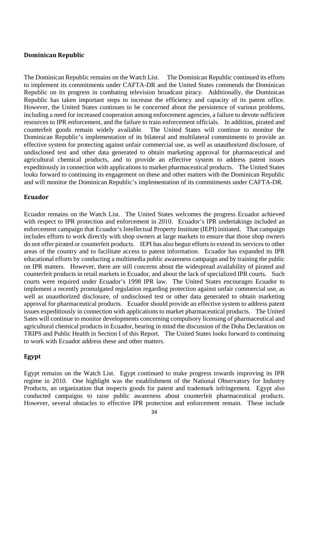#### **Dominican Republic**

The Dominican Republic remains on the Watch List. The Dominican Republic continued its efforts to implement its commitments under CAFTA-DR and the United States commends the Dominican Republic on its progress in combating television broadcast piracy. Additionally, the Dominican Republic has taken important steps to increase the efficiency and capacity of its patent office. However, the United States continues to be concerned about the persistence of various problems, including a need for increased cooperation among enforcement agencies, a failure to devote sufficient resources to IPR enforcement, and the failure to train enforcement officials. In addition, pirated and counterfeit goods remain widely available. The United States will continue to monitor the Dominican Republic's implementation of its bilateral and multilateral commitments to provide an effective system for protecting against unfair commercial use, as well as unauthorized disclosure, of undisclosed test and other data generated to obtain marketing approval for pharmaceutical and agricultural chemical products, and to provide an effective system to address patent issues expeditiously in connection with applications to market pharmaceutical products. The United States looks forward to continuing its engagement on these and other matters with the Dominican Republic and will monitor the Dominican Republic's implementation of its commitments under CAFTA-DR.

#### **Ecuador**

Ecuador remains on the Watch List. The United States welcomes the progress Ecuador achieved with respect to IPR protection and enforcement in 2010. Ecuador's IPR undertakings included an enforcement campaign that Ecuador's Intellectual Property Institute (IEPI) initiated. That campaign includes efforts to work directly with shop owners at large markets to ensure that those shop owners do not offer pirated or counterfeit products. IEPI has also begun efforts to extend its services to other areas of the country and to facilitate access to patent information. Ecuador has expanded its IPR educational efforts by conducting a multimedia public awareness campaign and by training the public on IPR matters. However, there are still concerns about the widespread availability of pirated and counterfeit products in retail markets in Ecuador, and about the lack of specialized IPR courts. Such courts were required under Ecuador's 1998 IPR law. The United States encourages Ecuador to implement a recently promulgated regulation regarding protection against unfair commercial use, as well as unauthorized disclosure, of undisclosed test or other data generated to obtain marketing approval for pharmaceutical products. Ecuador should provide an effective system to address patent issues expeditiously in connection with applications to market pharmaceutical products. The United Sates will continue to monitor developments concerning compulsory licensing of pharmaceutical and agricultural chemical products in Ecuador, bearing in mind the discussion of the Doha Declaration on TRIPS and Public Health in Section I of this Report. The United States looks forward to continuing to work with Ecuador address these and other matters.

#### **Egypt**

Egypt remains on the Watch List. Egypt continued to make progress towards improving its IPR regime in 2010. One highlight was the establishment of the National Observatory for Industry Products, an organization that inspects goods for patent and trademark infringement. Egypt also conducted campaigns to raise public awareness about counterfeit pharmaceutical products. However, several obstacles to effective IPR protection and enforcement remain. These include

<sup>34</sup>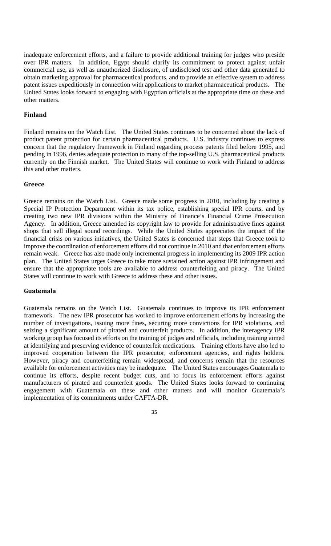inadequate enforcement efforts, and a failure to provide additional training for judges who preside over IPR matters. In addition, Egypt should clarify its commitment to protect against unfair commercial use, as well as unauthorized disclosure, of undisclosed test and other data generated to obtain marketing approval for pharmaceutical products, and to provide an effective system to address patent issues expeditiously in connection with applications to market pharmaceutical products. The United States looks forward to engaging with Egyptian officials at the appropriate time on these and other matters.

#### **Finland**

Finland remains on the Watch List. The United States continues to be concerned about the lack of product patent protection for certain pharmaceutical products. U.S. industry continues to express concern that the regulatory framework in Finland regarding process patents filed before 1995, and pending in 1996, denies adequate protection to many of the top-selling U.S. pharmaceutical products currently on the Finnish market. The United States will continue to work with Finland to address this and other matters.

#### **Greece**

Greece remains on the Watch List. Greece made some progress in 2010, including by creating a Special IP Protection Department within its tax police, establishing special IPR courts, and by creating two new IPR divisions within the Ministry of Finance's Financial Crime Prosecution Agency. In addition, Greece amended its copyright law to provide for administrative fines against shops that sell illegal sound recordings. While the United States appreciates the impact of the financial crisis on various initiatives, the United States is concerned that steps that Greece took to improve the coordination of enforcement efforts did not continue in 2010 and that enforcement efforts remain weak. Greece has also made only incremental progress in implementing its 2009 IPR action plan. The United States urges Greece to take more sustained action against IPR infringement and ensure that the appropriate tools are available to address counterfeiting and piracy. The United States will continue to work with Greece to address these and other issues.

#### **Guatemala**

Guatemala remains on the Watch List. Guatemala continues to improve its IPR enforcement framework. The new IPR prosecutor has worked to improve enforcement efforts by increasing the number of investigations, issuing more fines, securing more convictions for IPR violations, and seizing a significant amount of pirated and counterfeit products. In addition, the interagency IPR working group has focused its efforts on the training of judges and officials, including training aimed at identifying and preserving evidence of counterfeit medications. Training efforts have also led to improved cooperation between the IPR prosecutor, enforcement agencies, and rights holders. However, piracy and counterfeiting remain widespread, and concerns remain that the resources available for enforcement activities may be inadequate. The United States encourages Guatemala to continue its efforts, despite recent budget cuts, and to focus its enforcement efforts against manufacturers of pirated and counterfeit goods. The United States looks forward to continuing engagement with Guatemala on these and other matters and will monitor Guatemala's implementation of its commitments under CAFTA-DR.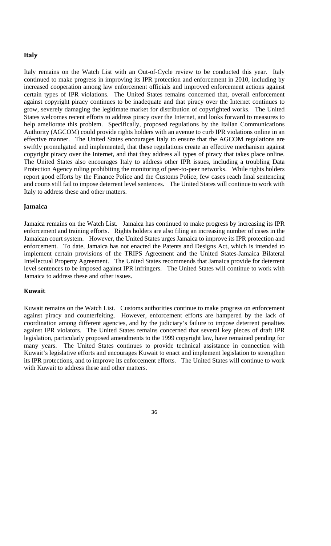#### **Italy**

Italy remains on the Watch List with an Out-of-Cycle review to be conducted this year. Italy continued to make progress in improving its IPR protection and enforcement in 2010, including by increased cooperation among law enforcement officials and improved enforcement actions against certain types of IPR violations. The United States remains concerned that, overall enforcement against copyright piracy continues to be inadequate and that piracy over the Internet continues to grow, severely damaging the legitimate market for distribution of copyrighted works. The United States welcomes recent efforts to address piracy over the Internet, and looks forward to measures to help ameliorate this problem. Specifically, proposed regulations by the Italian Communications Authority (AGCOM) could provide rights holders with an avenue to curb IPR violations online in an effective manner. The United States encourages Italy to ensure that the AGCOM regulations are swiftly promulgated and implemented, that these regulations create an effective mechanism against copyright piracy over the Internet, and that they address all types of piracy that takes place online. The United States also encourages Italy to address other IPR issues, including a troubling Data Protection Agency ruling prohibiting the monitoring of peer-to-peer networks. While rights holders report good efforts by the Finance Police and the Customs Police, few cases reach final sentencing and courts still fail to impose deterrent level sentences. The United States will continue to work with Italy to address these and other matters.

#### **Jamaica**

Jamaica remains on the Watch List. Jamaica has continued to make progress by increasing its IPR enforcement and training efforts. Rights holders are also filing an increasing number of cases in the Jamaican court system. However, the United States urges Jamaica to improve its IPR protection and enforcement. To date, Jamaica has not enacted the Patents and Designs Act, which is intended to implement certain provisions of the TRIPS Agreement and the United States-Jamaica Bilateral Intellectual Property Agreement. The United States recommends that Jamaica provide for deterrent level sentences to be imposed against IPR infringers. The United States will continue to work with Jamaica to address these and other issues.

#### **Kuwait**

Kuwait remains on the Watch List. Customs authorities continue to make progress on enforcement against piracy and counterfeiting. However, enforcement efforts are hampered by the lack of coordination among different agencies, and by the judiciary's failure to impose deterrent penalties against IPR violators. The United States remains concerned that several key pieces of draft IPR legislation, particularly proposed amendments to the 1999 copyright law, have remained pending for many years. The United States continues to provide technical assistance in connection with Kuwait's legislative efforts and encourages Kuwait to enact and implement legislation to strengthen its IPR protections, and to improve its enforcement efforts. The United States will continue to work with Kuwait to address these and other matters.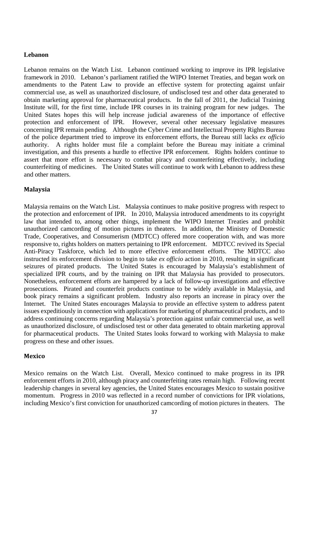#### **Lebanon**

Lebanon remains on the Watch List. Lebanon continued working to improve its IPR legislative framework in 2010. Lebanon's parliament ratified the WIPO Internet Treaties, and began work on amendments to the Patent Law to provide an effective system for protecting against unfair commercial use, as well as unauthorized disclosure, of undisclosed test and other data generated to obtain marketing approval for pharmaceutical products. In the fall of 2011, the Judicial Training Institute will, for the first time, include IPR courses in its training program for new judges. The United States hopes this will help increase judicial awareness of the importance of effective protection and enforcement of IPR. However, several other necessary legislative measures concerning IPR remain pending. Although the Cyber Crime and Intellectual Property Rights Bureau of the police department tried to improve its enforcement efforts, the Bureau still lacks *ex officio* authority. A rights holder must file a complaint before the Bureau may initiate a criminal investigation, and this presents a hurdle to effective IPR enforcement. Rights holders continue to assert that more effort is necessary to combat piracy and counterfeiting effectively, including counterfeiting of medicines. The United States will continue to work with Lebanon to address these and other matters.

#### **Malaysia**

Malaysia remains on the Watch List. Malaysia continues to make positive progress with respect to the protection and enforcement of IPR. In 2010, Malaysia introduced amendments to its copyright law that intended to, among other things, implement the WIPO Internet Treaties and prohibit unauthorized camcording of motion pictures in theaters. In addition, the Ministry of Domestic Trade, Cooperatives, and Consumerism (MDTCC) offered more cooperation with, and was more responsive to, rights holders on matters pertaining to IPR enforcement. MDTCC revived its Special Anti-Piracy Taskforce, which led to more effective enforcement efforts. The MDTCC also instructed its enforcement division to begin to take *ex officio* action in 2010, resulting in significant seizures of pirated products. The United States is encouraged by Malaysia's establishment of specialized IPR courts, and by the training on IPR that Malaysia has provided to prosecutors. Nonetheless, enforcement efforts are hampered by a lack of follow-up investigations and effective prosecutions. Pirated and counterfeit products continue to be widely available in Malaysia, and book piracy remains a significant problem. Industry also reports an increase in piracy over the Internet. The United States encourages Malaysia to provide an effective system to address patent issues expeditiously in connection with applications for marketing of pharmaceutical products, and to address continuing concerns regarding Malaysia's protection against unfair commercial use, as well as unauthorized disclosure, of undisclosed test or other data generated to obtain marketing approval for pharmaceutical products. The United States looks forward to working with Malaysia to make progress on these and other issues.

#### **Mexico**

Mexico remains on the Watch List. Overall, Mexico continued to make progress in its IPR enforcement efforts in 2010, although piracy and counterfeiting rates remain high. Following recent leadership changes in several key agencies, the United States encourages Mexico to sustain positive momentum. Progress in 2010 was reflected in a record number of convictions for IPR violations, including Mexico's first conviction for unauthorized camcording of motion pictures in theaters. The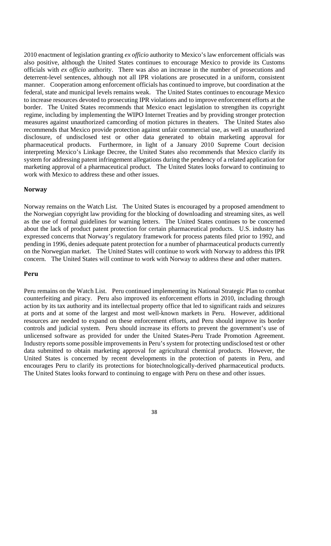2010 enactment of legislation granting *ex officio* authority to Mexico's law enforcement officials was also positive, although the United States continues to encourage Mexico to provide its Customs officials with *ex officio* authority. There was also an increase in the number of prosecutions and deterrent-level sentences, although not all IPR violations are prosecuted in a uniform, consistent manner. Cooperation among enforcement officials has continued to improve, but coordination at the federal, state and municipal levels remains weak. The United States continues to encourage Mexico to increase resources devoted to prosecuting IPR violations and to improve enforcement efforts at the border. The United States recommends that Mexico enact legislation to strengthen its copyright regime, including by implementing the WIPO Internet Treaties and by providing stronger protection measures against unauthorized camcording of motion pictures in theaters. The United States also recommends that Mexico provide protection against unfair commercial use, as well as unauthorized disclosure, of undisclosed test or other data generated to obtain marketing approval for pharmaceutical products. Furthermore, in light of a January 2010 Supreme Court decision interpreting Mexico's Linkage Decree, the United States also recommends that Mexico clarify its system for addressing patent infringement allegations during the pendency of a related application for marketing approval of a pharmaceutical product. The United States looks forward to continuing to work with Mexico to address these and other issues.

#### **Norway**

Norway remains on the Watch List. The United States is encouraged by a proposed amendment to the Norwegian copyright law providing for the blocking of downloading and streaming sites, as well as the use of formal guidelines for warning letters. The United States continues to be concerned about the lack of product patent protection for certain pharmaceutical products. U.S. industry has expressed concerns that Norway's regulatory framework for process patents filed prior to 1992, and pending in 1996, denies adequate patent protection for a number of pharmaceutical products currently on the Norwegian market. The United States will continue to work with Norway to address this IPR concern. The United States will continue to work with Norway to address these and other matters.

#### **Peru**

Peru remains on the Watch List. Peru continued implementing its National Strategic Plan to combat counterfeiting and piracy. Peru also improved its enforcement efforts in 2010, including through action by its tax authority and its intellectual property office that led to significant raids and seizures at ports and at some of the largest and most well-known markets in Peru. However, additional resources are needed to expand on these enforcement efforts, and Peru should improve its border controls and judicial system. Peru should increase its efforts to prevent the government's use of unlicensed software as provided for under the United States-Peru Trade Promotion Agreement. Industry reports some possible improvements in Peru's system for protecting undisclosed test or other data submitted to obtain marketing approval for agricultural chemical products. However, the United States is concerned by recent developments in the protection of patents in Peru, and encourages Peru to clarify its protections for biotechnologically-derived pharmaceutical products. The United States looks forward to continuing to engage with Peru on these and other issues.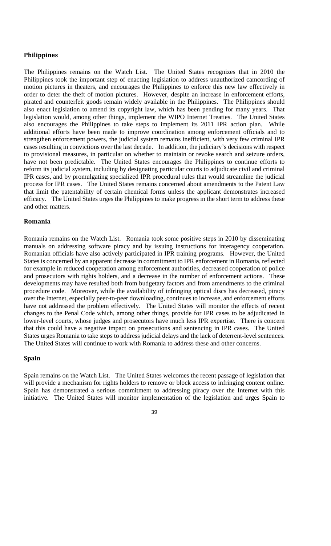# **Philippines**

The Philippines remains on the Watch List. The United States recognizes that in 2010 the Philippines took the important step of enacting legislation to address unauthorized camcording of motion pictures in theaters, and encourages the Philippines to enforce this new law effectively in order to deter the theft of motion pictures. However, despite an increase in enforcement efforts, pirated and counterfeit goods remain widely available in the Philippines. The Philippines should also enact legislation to amend its copyright law, which has been pending for many years. That legislation would, among other things, implement the WIPO Internet Treaties. The United States also encourages the Philippines to take steps to implement its 2011 IPR action plan. While additional efforts have been made to improve coordination among enforcement officials and to strengthen enforcement powers, the judicial system remains inefficient, with very few criminal IPR cases resulting in convictions over the last decade. In addition, the judiciary's decisions with respect to provisional measures, in particular on whether to maintain or revoke search and seizure orders, have not been predictable. The United States encourages the Philippines to continue efforts to reform its judicial system, including by designating particular courts to adjudicate civil and criminal IPR cases, and by promulgating specialized IPR procedural rules that would streamline the judicial process for IPR cases. The United States remains concerned about amendments to the Patent Law that limit the patentability of certain chemical forms unless the applicant demonstrates increased efficacy. The United States urges the Philippines to make progress in the short term to address these and other matters.

#### **Romania**

Romania remains on the Watch List. Romania took some positive steps in 2010 by disseminating manuals on addressing software piracy and by issuing instructions for interagency cooperation. Romanian officials have also actively participated in IPR training programs. However, the United States is concerned by an apparent decrease in commitment to IPR enforcement in Romania, reflected for example in reduced cooperation among enforcement authorities, decreased cooperation of police and prosecutors with rights holders, and a decrease in the number of enforcement actions. These developments may have resulted both from budgetary factors and from amendments to the criminal procedure code. Moreover, while the availability of infringing optical discs has decreased, piracy over the Internet, especially peer-to-peer downloading, continues to increase, and enforcement efforts have not addressed the problem effectively. The United States will monitor the effects of recent changes to the Penal Code which, among other things, provide for IPR cases to be adjudicated in lower-level courts, whose judges and prosecutors have much less IPR expertise. There is concern that this could have a negative impact on prosecutions and sentencing in IPR cases. The United States urges Romania to take steps to address judicial delays and the lack of deterrent-level sentences. The United States will continue to work with Romania to address these and other concerns.

#### **Spain**

Spain remains on the Watch List. The United States welcomes the recent passage of legislation that will provide a mechanism for rights holders to remove or block access to infringing content online. Spain has demonstrated a serious commitment to addressing piracy over the Internet with this initiative. The United States will monitor implementation of the legislation and urges Spain to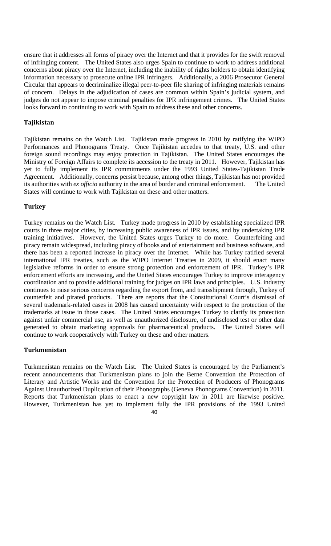ensure that it addresses all forms of piracy over the Internet and that it provides for the swift removal of infringing content. The United States also urges Spain to continue to work to address additional concerns about piracy over the Internet, including the inability of rights holders to obtain identifying information necessary to prosecute online IPR infringers. Additionally, a 2006 Prosecutor General Circular that appears to decriminalize illegal peer-to-peer file sharing of infringing materials remains of concern. Delays in the adjudication of cases are common within Spain's judicial system, and judges do not appear to impose criminal penalties for IPR infringement crimes. The United States looks forward to continuing to work with Spain to address these and other concerns.

#### **Tajikistan**

Tajikistan remains on the Watch List. Tajikistan made progress in 2010 by ratifying the WIPO Performances and Phonograms Treaty. Once Tajikistan accedes to that treaty, U.S. and other foreign sound recordings may enjoy protection in Tajikistan. The United States encourages the Ministry of Foreign Affairs to complete its accession to the treaty in 2011. However, Tajikistan has yet to fully implement its IPR commitments under the 1993 United States-Tajikistan Trade Agreement. Additionally, concerns persist because, among other things, Tajikistan has not provided its authorities with *ex officio* authority in the area of border and criminal enforcement. The United States will continue to work with Tajikistan on these and other matters.

#### **Turkey**

Turkey remains on the Watch List. Turkey made progress in 2010 by establishing specialized IPR courts in three major cities, by increasing public awareness of IPR issues, and by undertaking IPR training initiatives. However, the United States urges Turkey to do more. Counterfeiting and piracy remain widespread, including piracy of books and of entertainment and business software, and there has been a reported increase in piracy over the Internet. While has Turkey ratified several international IPR treaties, such as the WIPO Internet Treaties in 2009, it should enact many legislative reforms in order to ensure strong protection and enforcement of IPR. Turkey's IPR enforcement efforts are increasing, and the United States encourages Turkey to improve interagency coordination and to provide additional training for judges on IPR laws and principles. U.S. industry continues to raise serious concerns regarding the export from, and transshipment through, Turkey of counterfeit and pirated products. There are reports that the Constitutional Court's dismissal of several trademark-related cases in 2008 has caused uncertainty with respect to the protection of the trademarks at issue in those cases. The United States encourages Turkey to clarify its protection against unfair commercial use, as well as unauthorized disclosure, of undisclosed test or other data generated to obtain marketing approvals for pharmaceutical products. The United States will continue to work cooperatively with Turkey on these and other matters.

#### **Turkmenistan**

40 Turkmenistan remains on the Watch List. The United States is encouraged by the Parliament's recent announcements that Turkmenistan plans to join the Berne Convention the Protection of Literary and Artistic Works and the Convention for the Protection of Producers of Phonograms Against Unauthorized Duplication of their Phonographs (Geneva Phonograms Convention) in 2011. Reports that Turkmenistan plans to enact a new copyright law in 2011 are likewise positive. However, Turkmenistan has yet to implement fully the IPR provisions of the 1993 United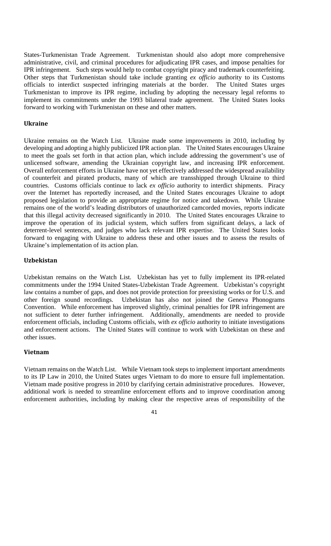States-Turkmenistan Trade Agreement. Turkmenistan should also adopt more comprehensive administrative, civil, and criminal procedures for adjudicating IPR cases, and impose penalties for IPR infringement. Such steps would help to combat copyright piracy and trademark counterfeiting. Other steps that Turkmenistan should take include granting *ex officio* authority to its Customs officials to interdict suspected infringing materials at the border. The United States urges Turkmenistan to improve its IPR regime, including by adopting the necessary legal reforms to implement its commitments under the 1993 bilateral trade agreement. The United States looks forward to working with Turkmenistan on these and other matters.

#### **Ukraine**

Ukraine remains on the Watch List. Ukraine made some improvements in 2010, including by developing and adopting a highly publicized IPR action plan. The United States encourages Ukraine to meet the goals set forth in that action plan, which include addressing the government's use of unlicensed software, amending the Ukrainian copyright law, and increasing IPR enforcement. Overall enforcement efforts in Ukraine have not yet effectively addressed the widespread availability of counterfeit and pirated products, many of which are transshipped through Ukraine to third countries. Customs officials continue to lack *ex officio* authority to interdict shipments. Piracy over the Internet has reportedly increased, and the United States encourages Ukraine to adopt proposed legislation to provide an appropriate regime for notice and takedown. While Ukraine remains one of the world's leading distributors of unauthorized camcorded movies, reports indicate that this illegal activity decreased significantly in 2010. The United States encourages Ukraine to improve the operation of its judicial system, which suffers from significant delays, a lack of deterrent-level sentences, and judges who lack relevant IPR expertise. The United States looks forward to engaging with Ukraine to address these and other issues and to assess the results of Ukraine's implementation of its action plan.

#### **Uzbekistan**

Uzbekistan remains on the Watch List. Uzbekistan has yet to fully implement its IPR-related commitments under the 1994 United States-Uzbekistan Trade Agreement. Uzbekistan's copyright law contains a number of gaps, and does not provide protection for preexisting works or for U.S. and other foreign sound recordings. Uzbekistan has also not joined the Geneva Phonograms Convention. While enforcement has improved slightly, criminal penalties for IPR infringement are not sufficient to deter further infringement. Additionally, amendments are needed to provide enforcement officials, including Customs officials, with *ex officio* authority to initiate investigations and enforcement actions. The United States will continue to work with Uzbekistan on these and other issues.

#### **Vietnam**

Vietnam remains on the Watch List. While Vietnam took steps to implement important amendments to its IP Law in 2010, the United States urges Vietnam to do more to ensure full implementation. Vietnam made positive progress in 2010 by clarifying certain administrative procedures. However, additional work is needed to streamline enforcement efforts and to improve coordination among enforcement authorities, including by making clear the respective areas of responsibility of the

<sup>41</sup>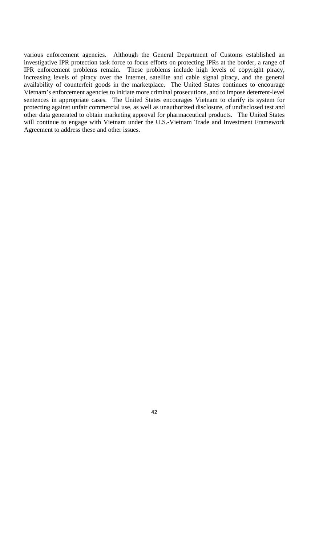various enforcement agencies. Although the General Department of Customs established an investigative IPR protection task force to focus efforts on protecting IPRs at the border, a range of IPR enforcement problems remain. These problems include high levels of copyright piracy, increasing levels of piracy over the Internet, satellite and cable signal piracy, and the general availability of counterfeit goods in the marketplace. The United States continues to encourage Vietnam's enforcement agencies to initiate more criminal prosecutions, and to impose deterrent-level sentences in appropriate cases. The United States encourages Vietnam to clarify its system for protecting against unfair commercial use, as well as unauthorized disclosure, of undisclosed test and other data generated to obtain marketing approval for pharmaceutical products. The United States will continue to engage with Vietnam under the U.S.-Vietnam Trade and Investment Framework Agreement to address these and other issues.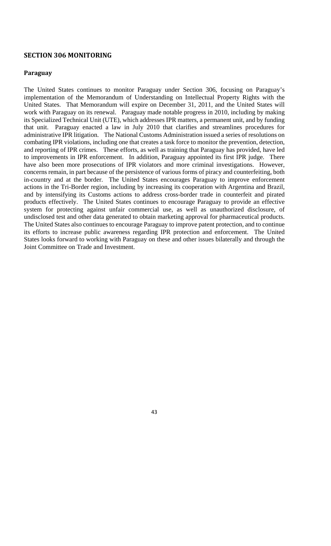# **SECTION 306 MONITORING**

# **Paraguay**

The United States continues to monitor Paraguay under Section 306, focusing on Paraguay's implementation of the Memorandum of Understanding on Intellectual Property Rights with the United States. That Memorandum will expire on December 31, 2011, and the United States will work with Paraguay on its renewal. Paraguay made notable progress in 2010, including by making its Specialized Technical Unit (UTE), which addresses IPR matters, a permanent unit, and by funding that unit. Paraguay enacted a law in July 2010 that clarifies and streamlines procedures for administrative IPR litigation. The National Customs Administration issued a series of resolutions on combating IPR violations, including one that creates a task force to monitor the prevention, detection, and reporting of IPR crimes. These efforts, as well as training that Paraguay has provided, have led to improvements in IPR enforcement. In addition, Paraguay appointed its first IPR judge. There have also been more prosecutions of IPR violators and more criminal investigations. However, concerns remain, in part because of the persistence of various forms of piracy and counterfeiting, both in-country and at the border. The United States encourages Paraguay to improve enforcement actions in the Tri-Border region, including by increasing its cooperation with Argentina and Brazil, and by intensifying its Customs actions to address cross-border trade in counterfeit and pirated products effectively. The United States continues to encourage Paraguay to provide an effective system for protecting against unfair commercial use, as well as unauthorized disclosure, of undisclosed test and other data generated to obtain marketing approval for pharmaceutical products. The United States also continues to encourage Paraguay to improve patent protection, and to continue its efforts to increase public awareness regarding IPR protection and enforcement. The United States looks forward to working with Paraguay on these and other issues bilaterally and through the Joint Committee on Trade and Investment.

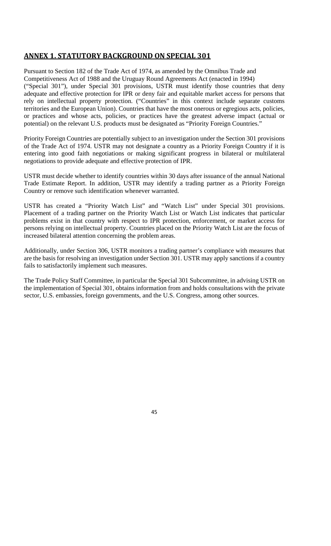# **ANNEX 1. STATUTORY BACKGROUND ON SPECIAL 301**

Pursuant to Section 182 of the Trade Act of 1974, as amended by the Omnibus Trade and Competitiveness Act of 1988 and the Uruguay Round Agreements Act (enacted in 1994) ("Special 301"), under Special 301 provisions, USTR must identify those countries that deny adequate and effective protection for IPR or deny fair and equitable market access for persons that rely on intellectual property protection. ("Countries" in this context include separate customs territories and the European Union). Countries that have the most onerous or egregious acts, policies, or practices and whose acts, policies, or practices have the greatest adverse impact (actual or potential) on the relevant U.S. products must be designated as "Priority Foreign Countries."

Priority Foreign Countries are potentially subject to an investigation under the Section 301 provisions of the Trade Act of 1974. USTR may not designate a country as a Priority Foreign Country if it is entering into good faith negotiations or making significant progress in bilateral or multilateral negotiations to provide adequate and effective protection of IPR.

USTR must decide whether to identify countries within 30 days after issuance of the annual National Trade Estimate Report. In addition, USTR may identify a trading partner as a Priority Foreign Country or remove such identification whenever warranted.

USTR has created a "Priority Watch List" and "Watch List" under Special 301 provisions. Placement of a trading partner on the Priority Watch List or Watch List indicates that particular problems exist in that country with respect to IPR protection, enforcement, or market access for persons relying on intellectual property. Countries placed on the Priority Watch List are the focus of increased bilateral attention concerning the problem areas.

Additionally, under Section 306, USTR monitors a trading partner's compliance with measures that are the basis for resolving an investigation under Section 301. USTR may apply sanctions if a country fails to satisfactorily implement such measures.

The Trade Policy Staff Committee, in particular the Special 301 Subcommittee, in advising USTR on the implementation of Special 301, obtains information from and holds consultations with the private sector, U.S. embassies, foreign governments, and the U.S. Congress, among other sources.